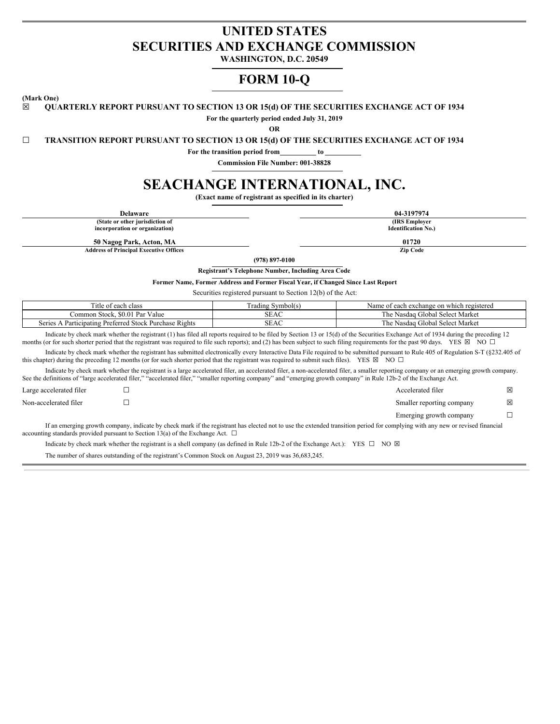# **UNITED STATES SECURITIES AND EXCHANGE COMMISSION**

**WASHINGTON, D.C. 20549**

# **FORM 10-Q**

**(Mark One)**

☒ **QUARTERLY REPORT PURSUANT TO SECTION 13 OR 15(d) OF THE SECURITIES EXCHANGE ACT OF 1934**

**For the quarterly period ended July 31, 2019**

**OR**

☐ **TRANSITION REPORT PURSUANT TO SECTION 13 OR 15(d) OF THE SECURITIES EXCHANGE ACT OF 1934**

**For the transition period from to**

**Commission File Number: 001-38828**

# **SEACHANGE INTERNATIONAL, INC.**

**(Exact name of registrant as specified in its charter)**

| <b>Delaware</b>                                                                                                                                                                                                                                                                                                                                                                       |                                                                                  | 04-3197974                                |   |  |  |  |
|---------------------------------------------------------------------------------------------------------------------------------------------------------------------------------------------------------------------------------------------------------------------------------------------------------------------------------------------------------------------------------------|----------------------------------------------------------------------------------|-------------------------------------------|---|--|--|--|
| (State or other jurisdiction of                                                                                                                                                                                                                                                                                                                                                       |                                                                                  | (IRS Employer                             |   |  |  |  |
| incorporation or organization)                                                                                                                                                                                                                                                                                                                                                        |                                                                                  | <b>Identification No.)</b>                |   |  |  |  |
| 50 Nagog Park, Acton, MA                                                                                                                                                                                                                                                                                                                                                              |                                                                                  | 01720                                     |   |  |  |  |
| <b>Address of Principal Executive Offices</b>                                                                                                                                                                                                                                                                                                                                         |                                                                                  | <b>Zip Code</b>                           |   |  |  |  |
|                                                                                                                                                                                                                                                                                                                                                                                       | $(978) 897 - 0100$                                                               |                                           |   |  |  |  |
|                                                                                                                                                                                                                                                                                                                                                                                       | Registrant's Telephone Number, Including Area Code                               |                                           |   |  |  |  |
|                                                                                                                                                                                                                                                                                                                                                                                       | Former Name, Former Address and Former Fiscal Year, if Changed Since Last Report |                                           |   |  |  |  |
|                                                                                                                                                                                                                                                                                                                                                                                       | Securities registered pursuant to Section 12(b) of the Act:                      |                                           |   |  |  |  |
| Title of each class                                                                                                                                                                                                                                                                                                                                                                   | Trading Symbol(s)                                                                | Name of each exchange on which registered |   |  |  |  |
| Common Stock, \$0.01 Par Value                                                                                                                                                                                                                                                                                                                                                        | <b>SEAC</b>                                                                      | The Nasdaq Global Select Market           |   |  |  |  |
| Series A Participating Preferred Stock Purchase Rights                                                                                                                                                                                                                                                                                                                                | <b>SEAC</b>                                                                      | The Nasdaq Global Select Market           |   |  |  |  |
| Indicate by check mark whether the registrant (1) has filed all reports required to be filed by Section 13 or 15(d) of the Securities Exchange Act of 1934 during the preceding 12<br>months (or for such shorter period that the registrant was required to file such reports); and (2) has been subject to such filing requirements for the past 90 days. YES $\boxtimes$ NO $\Box$ |                                                                                  |                                           |   |  |  |  |
| Indicate by check mark whether the registrant has submitted electronically every Interactive Data File required to be submitted pursuant to Rule 405 of Regulation S-T (§232.405 of<br>this chapter) during the preceding 12 months (or for such shorter period that the registrant was required to submit such files). YES $\boxtimes$ NO $\Box$                                     |                                                                                  |                                           |   |  |  |  |
| Indicate by check mark whether the registrant is a large accelerated filer, an accelerated filer, a non-accelerated filer, a smaller reporting company or an emerging growth company.<br>See the definitions of "large accelerated filer," "accelerated filer," "smaller reporting company" and "emerging growth company" in Rule 12b-2 of the Exchange Act.                          |                                                                                  |                                           |   |  |  |  |
| Large accelerated filer<br>П                                                                                                                                                                                                                                                                                                                                                          |                                                                                  | Accelerated filer                         | ⊠ |  |  |  |
| П<br>Non-accelerated filer                                                                                                                                                                                                                                                                                                                                                            |                                                                                  | Smaller reporting company                 | ⊠ |  |  |  |
|                                                                                                                                                                                                                                                                                                                                                                                       |                                                                                  | Emerging growth company                   | □ |  |  |  |
| If an emerging growth company, indicate by check mark if the registrant has elected not to use the extended transition period for complying with any new or revised financial<br>accounting standards provided pursuant to Section 13(a) of the Exchange Act. $\Box$                                                                                                                  |                                                                                  |                                           |   |  |  |  |
| Indicate by check mark whether the registrant is a shell company (as defined in Rule 12b-2 of the Exchange Act.): YES $\Box$ NO $\boxtimes$                                                                                                                                                                                                                                           |                                                                                  |                                           |   |  |  |  |
| <b>THE LIGHT AND CALLED ON A COLLEGE ACCOMMENT</b>                                                                                                                                                                                                                                                                                                                                    |                                                                                  |                                           |   |  |  |  |

The number of shares outstanding of the registrant's Common Stock on August 23, 2019 was 36,683,245.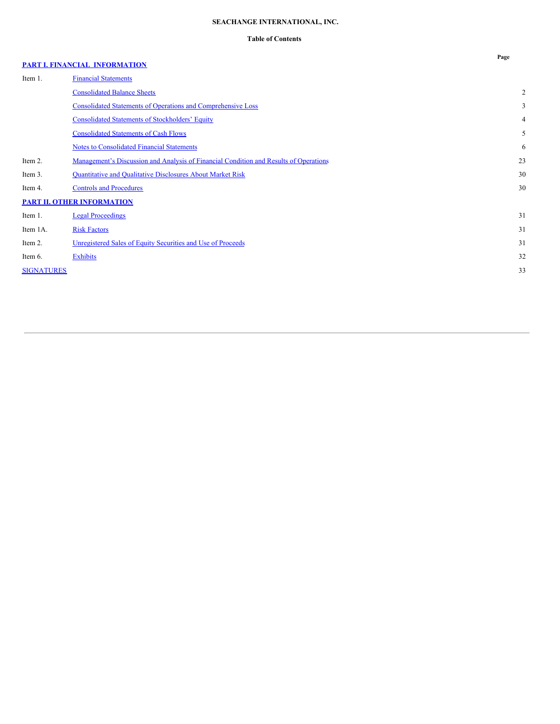# **SEACHANGE INTERNATIONAL, INC.**

## **Table of Contents**

**Page**

# **PART I. FINANCIAL [INFORMATION](#page-2-0)**

| Item 1.           | <b>Financial Statements</b>                                                           |                |
|-------------------|---------------------------------------------------------------------------------------|----------------|
|                   | <b>Consolidated Balance Sheets</b>                                                    | $\overline{2}$ |
|                   | <b>Consolidated Statements of Operations and Comprehensive Loss</b>                   | 3              |
|                   | <b>Consolidated Statements of Stockholders' Equity</b>                                | $\overline{4}$ |
|                   | <b>Consolidated Statements of Cash Flows</b>                                          | 5              |
|                   | <b>Notes to Consolidated Financial Statements</b>                                     | 6              |
| Item 2.           | Management's Discussion and Analysis of Financial Condition and Results of Operations | 23             |
| Item 3.           | Quantitative and Qualitative Disclosures About Market Risk                            | 30             |
| Item 4.           | <b>Controls and Procedures</b>                                                        | 30             |
|                   | <b>PART II. OTHER INFORMATION</b>                                                     |                |
| Item 1.           | <b>Legal Proceedings</b>                                                              | 31             |
| Item 1A.          | <b>Risk Factors</b>                                                                   | 31             |
| Item 2.           | Unregistered Sales of Equity Securities and Use of Proceeds                           | 31             |
| Item 6.           | <b>Exhibits</b>                                                                       | 32             |
| <b>SIGNATURES</b> |                                                                                       | 33             |
|                   |                                                                                       |                |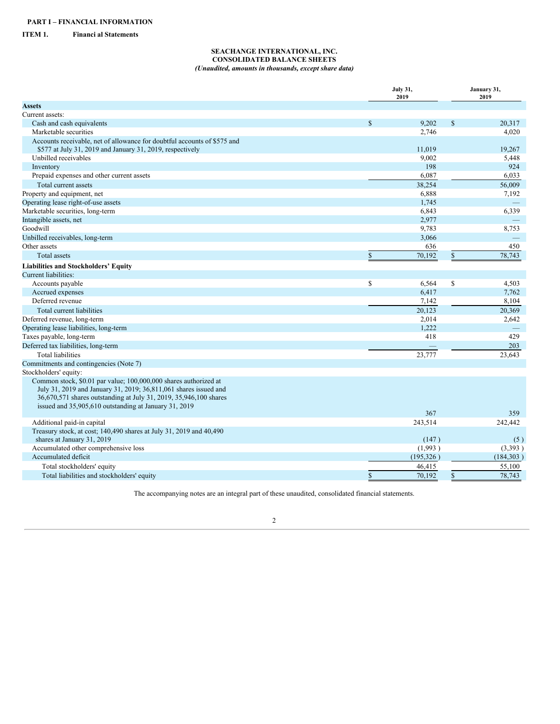## <span id="page-2-2"></span><span id="page-2-1"></span><span id="page-2-0"></span>**ITEM 1. Financi al Statements**

#### **SEACHANGE INTERNATIONAL, INC. CONSOLIDATED BALANCE SHEETS** *(Unaudited, amounts in thousands, except share data)*

|                                                                                                                                                                                                                                                                    |              | <b>July 31,</b><br>2019 |              | January 31,<br>2019 |
|--------------------------------------------------------------------------------------------------------------------------------------------------------------------------------------------------------------------------------------------------------------------|--------------|-------------------------|--------------|---------------------|
| <b>Assets</b>                                                                                                                                                                                                                                                      |              |                         |              |                     |
| Current assets:                                                                                                                                                                                                                                                    |              |                         |              |                     |
| Cash and cash equivalents                                                                                                                                                                                                                                          | $\mathbb{S}$ | 9,202                   | \$           | 20,317              |
| Marketable securities                                                                                                                                                                                                                                              |              | 2,746                   |              | 4,020               |
| Accounts receivable, net of allowance for doubtful accounts of \$575 and                                                                                                                                                                                           |              |                         |              |                     |
| \$577 at July 31, 2019 and January 31, 2019, respectively                                                                                                                                                                                                          |              | 11,019                  |              | 19,267              |
| Unbilled receivables                                                                                                                                                                                                                                               |              | 9,002                   |              | 5,448               |
| Inventory                                                                                                                                                                                                                                                          |              | 198                     |              | 924                 |
| Prepaid expenses and other current assets                                                                                                                                                                                                                          |              | 6,087                   |              | 6,033               |
| Total current assets                                                                                                                                                                                                                                               |              | 38,254                  |              | 56,009              |
| Property and equipment, net                                                                                                                                                                                                                                        |              | 6,888                   |              | 7,192               |
| Operating lease right-of-use assets                                                                                                                                                                                                                                |              | 1,745                   |              |                     |
| Marketable securities, long-term                                                                                                                                                                                                                                   |              | 6,843                   |              | 6,339               |
| Intangible assets, net                                                                                                                                                                                                                                             |              | 2,977                   |              |                     |
| Goodwill                                                                                                                                                                                                                                                           |              | 9,783                   |              | 8,753               |
| Unbilled receivables, long-term                                                                                                                                                                                                                                    |              | 3,066                   |              |                     |
| Other assets                                                                                                                                                                                                                                                       |              | 636                     |              | 450                 |
| Total assets                                                                                                                                                                                                                                                       | \$           | 70,192                  | \$           | 78,743              |
| <b>Liabilities and Stockholders' Equity</b>                                                                                                                                                                                                                        |              |                         |              |                     |
| Current liabilities:                                                                                                                                                                                                                                               |              |                         |              |                     |
| Accounts payable                                                                                                                                                                                                                                                   | \$           | 6,564                   | \$           | 4,503               |
| Accrued expenses                                                                                                                                                                                                                                                   |              | 6,417                   |              | 7,762               |
| Deferred revenue                                                                                                                                                                                                                                                   |              | 7,142                   |              | 8,104               |
| Total current liabilities                                                                                                                                                                                                                                          |              | 20,123                  |              | 20,369              |
| Deferred revenue, long-term                                                                                                                                                                                                                                        |              | 2,014                   |              | 2,642               |
| Operating lease liabilities, long-term                                                                                                                                                                                                                             |              | 1,222                   |              |                     |
| Taxes payable, long-term                                                                                                                                                                                                                                           |              | 418                     |              | 429                 |
| Deferred tax liabilities, long-term                                                                                                                                                                                                                                |              |                         |              | 203                 |
| <b>Total liabilities</b>                                                                                                                                                                                                                                           |              | 23,777                  |              | 23,643              |
| Commitments and contingencies (Note 7)                                                                                                                                                                                                                             |              |                         |              |                     |
| Stockholders' equity:                                                                                                                                                                                                                                              |              |                         |              |                     |
| Common stock, \$0.01 par value; 100,000,000 shares authorized at<br>July 31, 2019 and January 31, 2019; 36,811,061 shares issued and<br>36,670,571 shares outstanding at July 31, 2019, 35,946,100 shares<br>issued and 35,905,610 outstanding at January 31, 2019 |              |                         |              |                     |
|                                                                                                                                                                                                                                                                    |              | 367                     |              | 359                 |
| Additional paid-in capital                                                                                                                                                                                                                                         |              | 243,514                 |              | 242,442             |
| Treasury stock, at cost; 140,490 shares at July 31, 2019 and 40,490<br>shares at January 31, 2019                                                                                                                                                                  |              | (147)                   |              | (5)                 |
| Accumulated other comprehensive loss                                                                                                                                                                                                                               |              | (1,993)                 |              | (3,393)             |
| Accumulated deficit                                                                                                                                                                                                                                                |              | (195, 326)              |              | (184, 303)          |
| Total stockholders' equity                                                                                                                                                                                                                                         |              | 46,415                  |              | 55,100              |
| Total liabilities and stockholders' equity                                                                                                                                                                                                                         | \$           | 70,192                  | $\mathbb{S}$ | 78,743              |

The accompanying notes are an integral part of these unaudited, consolidated financial statements.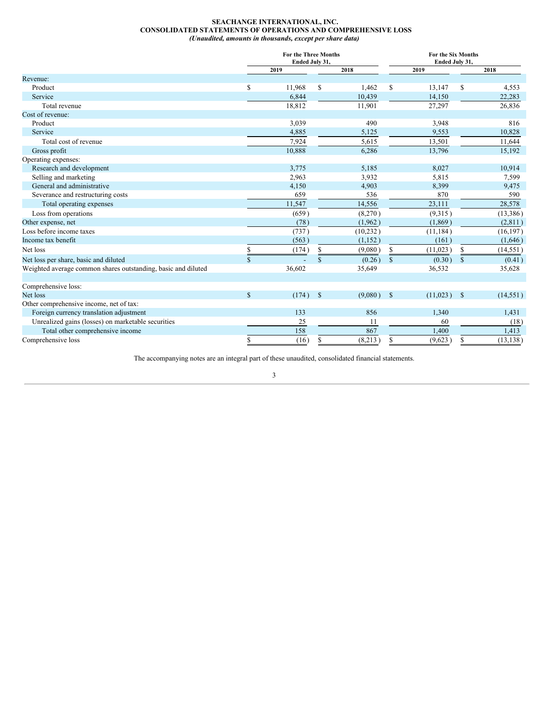## <span id="page-3-0"></span>**SEACHANGE INTERNATIONAL, INC. CONSOLIDATED STATEMENTS OF OPERATIONS AND COMPREHENSIVE LOSS** *(Unaudited, amounts in thousands, except per share data)*

|                                                               | For the Three Months<br>Ended July 31, |        |              |           |              |           | For the Six Months<br>Ended July 31,<br>2018 |           |  |  |
|---------------------------------------------------------------|----------------------------------------|--------|--------------|-----------|--------------|-----------|----------------------------------------------|-----------|--|--|
|                                                               |                                        | 2019   |              | 2018      |              | 2019      |                                              |           |  |  |
| Revenue:                                                      |                                        |        |              |           |              |           |                                              |           |  |  |
| Product                                                       | <sup>\$</sup>                          | 11,968 | \$           | 1,462     | \$           | 13,147    | \$                                           | 4,553     |  |  |
| Service                                                       |                                        | 6,844  |              | 10,439    |              | 14,150    |                                              | 22,283    |  |  |
| Total revenue                                                 |                                        | 18,812 |              | 11,901    |              | 27,297    |                                              | 26,836    |  |  |
| Cost of revenue:                                              |                                        |        |              |           |              |           |                                              |           |  |  |
| Product                                                       |                                        | 3,039  |              | 490       |              | 3,948     |                                              | 816       |  |  |
| Service                                                       |                                        | 4,885  |              | 5,125     |              | 9,553     |                                              | 10,828    |  |  |
| Total cost of revenue                                         |                                        | 7,924  |              | 5,615     |              | 13,501    |                                              | 11,644    |  |  |
| Gross profit                                                  |                                        | 10,888 |              | 6,286     |              | 13,796    |                                              | 15,192    |  |  |
| Operating expenses:                                           |                                        |        |              |           |              |           |                                              |           |  |  |
| Research and development                                      |                                        | 3,775  |              | 5,185     |              | 8,027     |                                              | 10,914    |  |  |
| Selling and marketing                                         |                                        | 2,963  |              | 3,932     |              | 5,815     |                                              | 7,599     |  |  |
| General and administrative                                    |                                        | 4,150  |              | 4,903     |              | 8,399     |                                              | 9,475     |  |  |
| Severance and restructuring costs                             |                                        | 659    |              | 536       |              | 870       |                                              | 590       |  |  |
| Total operating expenses                                      |                                        | 11,547 |              | 14,556    |              | 23,111    |                                              | 28,578    |  |  |
| Loss from operations                                          |                                        | (659)  |              | (8,270)   |              | (9,315)   |                                              | (13,386)  |  |  |
| Other expense, net                                            |                                        | (78)   |              | (1,962)   |              | (1,869)   |                                              | (2,811)   |  |  |
| Loss before income taxes                                      |                                        | (737)  |              | (10, 232) |              | (11, 184) |                                              | (16, 197) |  |  |
| Income tax benefit                                            |                                        | (563)  |              | (1,152)   |              | (161)     |                                              | (1,646)   |  |  |
| Net loss                                                      | \$                                     | (174)  | \$           | (9,080)   | S            | (11,023)  | S                                            | (14, 551) |  |  |
| Net loss per share, basic and diluted                         | $\mathbf S$                            |        | $\mathbb{S}$ | (0.26)    | \$           | (0.30)    | S                                            | (0.41)    |  |  |
| Weighted average common shares outstanding, basic and diluted |                                        | 36,602 |              | 35,649    |              | 36,532    |                                              | 35,628    |  |  |
|                                                               |                                        |        |              |           |              |           |                                              |           |  |  |
| Comprehensive loss:                                           |                                        |        |              |           |              |           |                                              |           |  |  |
| Net loss                                                      | $\mathbf S$                            | (174)  | \$           | (9,080)   | $\mathbb{S}$ | (11,023)  | $\mathbb{S}$                                 | (14, 551) |  |  |
| Other comprehensive income, net of tax:                       |                                        |        |              |           |              |           |                                              |           |  |  |
| Foreign currency translation adjustment                       |                                        | 133    |              | 856       |              | 1,340     |                                              | 1,431     |  |  |
| Unrealized gains (losses) on marketable securities            |                                        | 25     |              | 11        |              | 60        |                                              | (18)      |  |  |
| Total other comprehensive income                              |                                        | 158    |              | 867       |              | 1,400     |                                              | 1,413     |  |  |
| Comprehensive loss                                            | \$                                     | (16)   | \$           | (8,213)   | \$           | (9,623)   | \$                                           | (13, 138) |  |  |

The accompanying notes are an integral part of these unaudited, consolidated financial statements.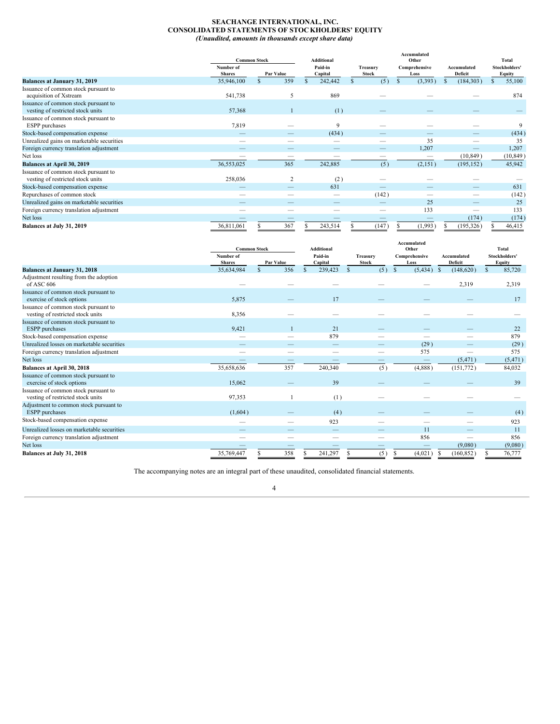## <span id="page-4-0"></span>**SEACHANGE INTERNATIONAL, INC. CONSOLIDATED STATEMENTS OF STOCKHOLDERS' EQUITY** *(Unaudited, amounts in thousands except share data)*

|                                                                |                            | <b>Common Stock</b><br><b>Additional</b> |                          |                          | Accumulated<br>Other     |                            |                         |  |
|----------------------------------------------------------------|----------------------------|------------------------------------------|--------------------------|--------------------------|--------------------------|----------------------------|-------------------------|--|
|                                                                | Number of<br><b>Shares</b> | Par Value                                | Paid-in<br>Capital       | Treasury<br><b>Stock</b> | Comprehensive<br>Loss    | Accumulated<br>Deficit     | Stockholders'<br>Equity |  |
| <b>Balances at January 31, 2019</b>                            | 35,946,100                 | 359<br>$\mathcal{S}$                     | 242,442<br>S             | (5)<br>\$.               | (3,393)<br><sup>\$</sup> | (184, 303)<br><sup>S</sup> | 55,100                  |  |
| Issuance of common stock pursuant to<br>acquisition of Xstream | 541,738                    | 5                                        | 869                      |                          |                          |                            | 874                     |  |
| Issuance of common stock pursuant to                           |                            |                                          |                          |                          |                          |                            |                         |  |
| vesting of restricted stock units                              | 57,368                     |                                          | (1)                      |                          |                          |                            |                         |  |
| Issuance of common stock pursuant to<br>ESPP purchases         | 7,819                      |                                          | 9                        |                          |                          |                            | 9                       |  |
| Stock-based compensation expense                               |                            |                                          | (434)                    |                          |                          |                            | (434)                   |  |
| Unrealized gains on marketable securities                      |                            |                                          |                          |                          | 35                       |                            | 35                      |  |
| Foreign currency translation adjustment                        | $\overline{\phantom{a}}$   | $-$                                      | $\overline{\phantom{a}}$ |                          | 1,207                    |                            | 1,207                   |  |
| Net loss                                                       |                            |                                          |                          |                          |                          | (10, 849)                  | (10, 849)               |  |
| Balances at April 30, 2019                                     | 36,553,025                 | 365                                      | 242,885                  | (5)                      | (2,151)                  | (195, 152)                 | 45,942                  |  |
| Issuance of common stock pursuant to                           |                            |                                          |                          |                          |                          |                            |                         |  |
| vesting of restricted stock units                              | 258,036                    | 2                                        | (2)                      |                          |                          |                            |                         |  |
| Stock-based compensation expense                               |                            |                                          | 631                      |                          |                          |                            | 631                     |  |
| Repurchases of common stock                                    | $\overline{\phantom{a}}$   |                                          |                          | (142)                    | $\overline{\phantom{a}}$ |                            | (142)                   |  |
| Unrealized gains on marketable securities                      |                            |                                          |                          |                          | 25                       |                            | 25                      |  |
| Foreign currency translation adjustment                        | $\overline{\phantom{a}}$   |                                          |                          |                          | 133                      |                            | 133                     |  |
| Net loss                                                       |                            |                                          |                          |                          |                          | (174)                      | (174)                   |  |
| Balances at July 31, 2019                                      | 36,811,061                 | 367                                      | 243,514                  | (147)                    | (1,993)                  | (195, 326)                 | 46,415                  |  |

|                                                                           |                            | <b>Common Stock</b> |    |                    |                          | Accumulated<br>Other          |                             |              | <b>Total</b>            |
|---------------------------------------------------------------------------|----------------------------|---------------------|----|--------------------|--------------------------|-------------------------------|-----------------------------|--------------|-------------------------|
|                                                                           | Number of<br><b>Shares</b> | Par Value           |    | Paid-in<br>Capital | Treasury<br><b>Stock</b> | Comprehensive<br>Loss         | Accumulated<br>Deficit      |              | Stockholders'<br>Equity |
| <b>Balances at January 31, 2018</b>                                       | 35,634,984                 | $\mathbb{S}$<br>356 | \$ | 239,423            | (5)<br>$\mathbb{S}$      | $(5,434)$ \$<br><sup>\$</sup> | (148, 620)                  | $\mathbb{S}$ | 85,720                  |
| Adjustment resulting from the adoption<br>of ASC $606$                    |                            |                     |    |                    |                          |                               | 2,319                       |              | 2,319                   |
| Issuance of common stock pursuant to                                      |                            |                     |    |                    |                          |                               |                             |              |                         |
| exercise of stock options                                                 | 5,875                      |                     |    | 17                 |                          |                               |                             |              | 17                      |
| Issuance of common stock pursuant to<br>vesting of restricted stock units | 8,356                      |                     |    |                    |                          |                               |                             |              |                         |
| Issuance of common stock pursuant to                                      |                            |                     |    |                    |                          |                               |                             |              |                         |
| <b>ESPP</b> purchases                                                     | 9,421                      |                     |    | 21                 |                          |                               |                             |              | 22                      |
| Stock-based compensation expense                                          |                            |                     |    | 879                |                          |                               |                             |              | 879                     |
| Unrealized losses on marketable securities                                |                            |                     |    |                    |                          | (29)                          |                             |              | (29)                    |
| Foreign currency translation adjustment                                   |                            |                     |    |                    |                          | 575                           |                             |              | 575                     |
| Net loss                                                                  |                            |                     |    |                    |                          |                               | (5, 471)                    |              | (5, 471)                |
| Balances at April 30, 2018                                                | 35,658,636                 | 357                 |    | 240,340            | (5)                      | (4,888)                       | (151,772)                   |              | 84,032                  |
| Issuance of common stock pursuant to                                      |                            |                     |    |                    |                          |                               |                             |              |                         |
| exercise of stock options                                                 | 15,062                     |                     |    | 39                 |                          |                               |                             |              | 39                      |
| Issuance of common stock pursuant to                                      |                            |                     |    |                    |                          |                               |                             |              |                         |
| vesting of restricted stock units                                         | 97,353                     |                     |    | (1)                |                          |                               |                             |              |                         |
| Adjustment to common stock pursuant to<br><b>ESPP</b> purchases           | (1,604)                    |                     |    | (4)                |                          |                               |                             |              | (4)                     |
| Stock-based compensation expense                                          |                            |                     |    | 923                |                          |                               |                             |              | 923                     |
| Unrealized losses on marketable securities                                |                            |                     |    |                    |                          | 11                            | –                           |              | <sup>11</sup>           |
| Foreign currency translation adjustment                                   |                            |                     |    |                    |                          | 856                           |                             |              | 856                     |
| Net loss                                                                  |                            |                     |    |                    |                          |                               | (9,080)                     |              | (9,080)                 |
| <b>Balances at July 31, 2018</b>                                          | 35,769,447                 | 358<br>S            | S  | 241,297            | (5)<br>S                 | (4,021)<br>S                  | (160, 852)<br><sup>\$</sup> | S            | 76,777                  |

The accompanying notes are an integral part of these unaudited, consolidated financial statements.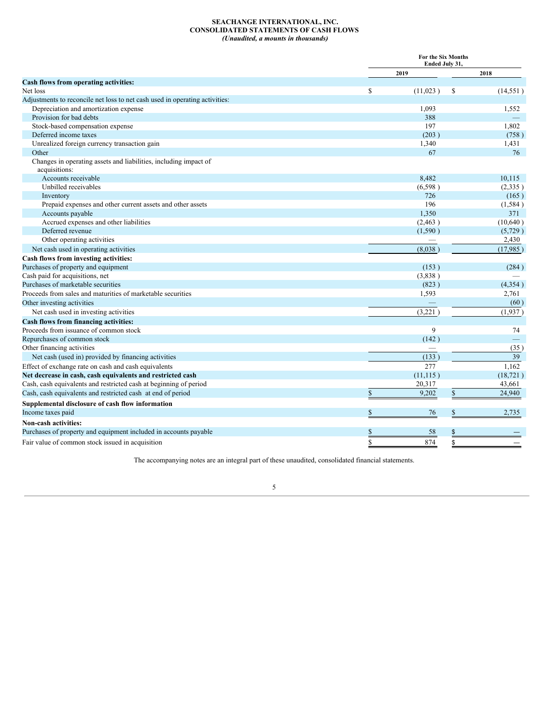#### <span id="page-5-0"></span>**SEACHANGE INTERNATIONAL, INC. CONSOLIDATED STATEMENTS OF CASH FLOWS** *(Unaudited, a mounts in thousands)*

|                                                                                   |                         | For the Six Months<br>Ended July 31, |               |           |
|-----------------------------------------------------------------------------------|-------------------------|--------------------------------------|---------------|-----------|
|                                                                                   |                         | 2019                                 |               | 2018      |
| Cash flows from operating activities:                                             |                         |                                      |               |           |
| Net loss                                                                          | \$                      | (11,023)                             | \$            | (14, 551) |
| Adjustments to reconcile net loss to net cash used in operating activities:       |                         |                                      |               |           |
| Depreciation and amortization expense                                             |                         | 1,093                                |               | 1,552     |
| Provision for bad debts                                                           |                         | 388                                  |               |           |
| Stock-based compensation expense                                                  |                         | 197                                  |               | 1,802     |
| Deferred income taxes                                                             |                         | (203)                                |               | (758)     |
| Unrealized foreign currency transaction gain                                      |                         | 1,340                                |               | 1,431     |
| Other                                                                             |                         | 67                                   |               | 76        |
| Changes in operating assets and liabilities, including impact of<br>acquisitions: |                         |                                      |               |           |
| Accounts receivable                                                               |                         | 8,482                                |               | 10,115    |
| Unbilled receivables                                                              |                         | (6,598)                              |               | (2, 335)  |
| Inventory                                                                         |                         | 726                                  |               | (165)     |
| Prepaid expenses and other current assets and other assets                        |                         | 196                                  |               | (1, 584)  |
| Accounts payable                                                                  |                         | 1,350                                |               | 371       |
| Accrued expenses and other liabilities                                            |                         | (2, 463)                             |               | (10,640)  |
| Deferred revenue                                                                  |                         | (1,590)                              |               | (5,729)   |
| Other operating activities                                                        |                         |                                      |               | 2,430     |
| Net cash used in operating activities                                             |                         | (8,038)                              |               | (17,985)  |
| Cash flows from investing activities:                                             |                         |                                      |               |           |
| Purchases of property and equipment                                               |                         | (153)                                |               | (284)     |
| Cash paid for acquisitions, net                                                   |                         | (3,838)                              |               |           |
| Purchases of marketable securities                                                |                         | (823)                                |               | (4,354)   |
| Proceeds from sales and maturities of marketable securities                       |                         | 1,593                                |               | 2,761     |
| Other investing activities                                                        |                         |                                      |               | (60)      |
| Net cash used in investing activities                                             |                         | (3,221)                              |               | (1,937)   |
| Cash flows from financing activities:                                             |                         |                                      |               |           |
| Proceeds from issuance of common stock                                            |                         | 9                                    |               | 74        |
| Repurchases of common stock                                                       |                         | (142)                                |               |           |
| Other financing activities                                                        |                         | -                                    |               | (35)      |
| Net cash (used in) provided by financing activities                               |                         | (133)                                |               | 39        |
| Effect of exchange rate on cash and cash equivalents                              |                         | 277                                  |               | 1,162     |
| Net decrease in cash, cash equivalents and restricted cash                        |                         | (11, 115)                            |               | (18, 721) |
| Cash, cash equivalents and restricted cash at beginning of period                 |                         | 20,317                               |               | 43,661    |
| Cash, cash equivalents and restricted cash at end of period                       | $\overline{\mathbf{S}}$ | 9,202                                | $\mathsf{\$}$ | 24.940    |
| Supplemental disclosure of cash flow information                                  |                         |                                      |               |           |
| Income taxes paid                                                                 | \$                      | 76                                   | \$            | 2,735     |
| Non-cash activities:                                                              |                         |                                      |               |           |
| Purchases of property and equipment included in accounts payable                  | \$                      | 58                                   | \$            |           |
| Fair value of common stock issued in acquisition                                  | \$                      | 874                                  | \$            |           |

The accompanying notes are an integral part of these unaudited, consolidated financial statements.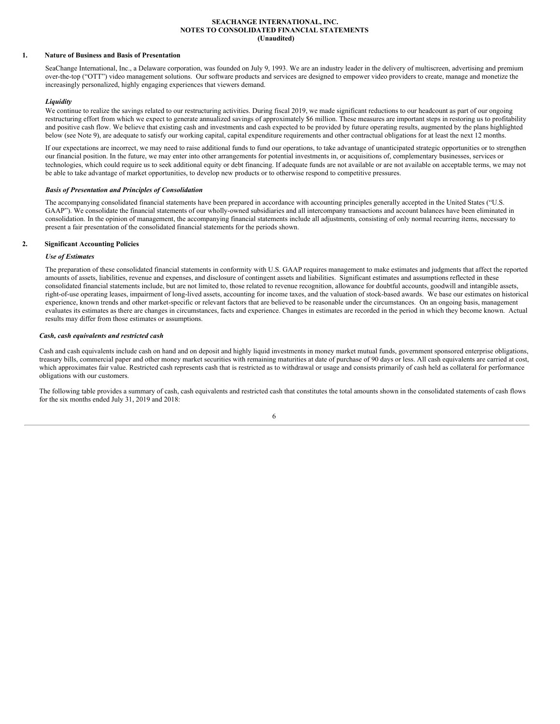## <span id="page-6-0"></span>**SEACHANGE INTERNATIONAL, INC. NOTES TO CONSOLIDATED FINANCIAL STATEMENTS (Unaudited)**

### **1. Nature of Business and Basis of Presentation**

SeaChange International, Inc., a Delaware corporation, was founded on July 9, 1993. We are an industry leader in the delivery of multiscreen, advertising and premium over-the-top ("OTT") video management solutions. Our software products and services are designed to empower video providers to create, manage and monetize the increasingly personalized, highly engaging experiences that viewers demand.

#### *Liquidity*

We continue to realize the savings related to our restructuring activities. During fiscal 2019, we made significant reductions to our headcount as part of our ongoing restructuring effort from which we expect to generate annualized savings of approximately \$6 million. These measures are important steps in restoring us to profitability and positive cash flow. We believe that existing cash and investments and cash expected to be provided by future operating results, augmented by the plans highlighted below (see Note 9), are adequate to satisfy our working capital, capital expenditure requirements and other contractual obligations for at least the next 12 months.

If our expectations are incorrect, we may need to raise additional funds to fund our operations, to take advantage of unanticipated strategic opportunities or to strengthen our financial position. In the future, we may enter into other arrangements for potential investments in, or acquisitions of, complementary businesses, services or technologies, which could require us to seek additional equity or debt financing. If adequate funds are not available or are not available on acceptable terms, we may not be able to take advantage of market opportunities, to develop new products or to otherwise respond to competitive pressures.

#### *Basis of Presentation and Principles of Consolidation*

The accompanying consolidated financial statements have been prepared in accordance with accounting principles generally accepted in the United States ("U.S. GAAP"). We consolidate the financial statements of our wholly-owned subsidiaries and all intercompany transactions and account balances have been eliminated in consolidation. In the opinion of management, the accompanying financial statements include all adjustments, consisting of only normal recurring items, necessary to present a fair presentation of the consolidated financial statements for the periods shown.

# **2. Significant Accounting Policies**

#### *Use of Estimates*

The preparation of these consolidated financial statements in conformity with U.S. GAAP requires management to make estimates and judgments that affect the reported amounts of assets, liabilities, revenue and expenses, and disclosure of contingent assets and liabilities. Significant estimates and assumptions reflected in these consolidated financial statements include, but are not limited to, those related to revenue recognition, allowance for doubtful accounts, goodwill and intangible assets, right-of-use operating leases, impairment of long-lived assets, accounting for income taxes, and the valuation of stock-based awards. We base our estimates on historical experience, known trends and other market-specific or relevant factors that are believed to be reasonable under the circumstances. On an ongoing basis, management evaluates its estimates as there are changes in circumstances, facts and experience. Changes in estimates are recorded in the period in which they become known. Actual results may differ from those estimates or assumptions.

## *Cash, cash equivalents and restricted cash*

Cash and cash equivalents include cash on hand and on deposit and highly liquid investments in money market mutual funds, government sponsored enterprise obligations, treasury bills, commercial paper and other money market securities with remaining maturities at date of purchase of 90 days or less. All cash equivalents are carried at cost, which approximates fair value. Restricted cash represents cash that is restricted as to withdrawal or usage and consists primarily of cash held as collateral for performance obligations with our customers.

The following table provides a summary of cash, cash equivalents and restricted cash that constitutes the total amounts shown in the consolidated statements of cash flows for the six months ended July 31, 2019 and 2018:

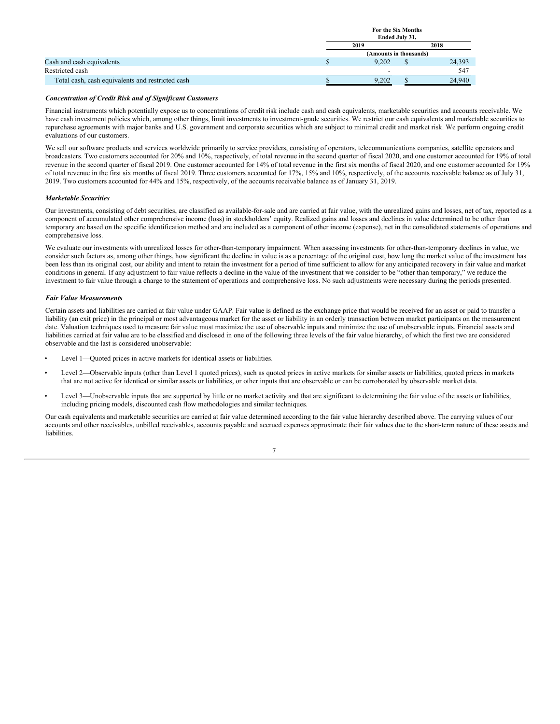|                                                  |                        | TVI the SIA MORTHS<br>Ended July 31, |        |  |  |
|--------------------------------------------------|------------------------|--------------------------------------|--------|--|--|
|                                                  | 2019<br>2018           |                                      |        |  |  |
|                                                  | (Amounts in thousands) |                                      |        |  |  |
| Cash and cash equivalents                        | 9.202                  |                                      | 24,393 |  |  |
| Restricted cash                                  |                        |                                      | 547    |  |  |
| Total cash, cash equivalents and restricted cash | 9.202                  |                                      | 24,940 |  |  |

## *Concentration of Credit Risk and of Significant Customers*

Financial instruments which potentially expose us to concentrations of credit risk include cash and cash equivalents, marketable securities and accounts receivable. We have cash investment policies which, among other things, limit investments to investment-grade securities. We restrict our cash equivalents and marketable securities to repurchase agreements with major banks and U.S. government and corporate securities which are subject to minimal credit and market risk. We perform ongoing credit evaluations of our customers.

**For the Six Months**

We sell our software products and services worldwide primarily to service providers, consisting of operators, telecommunications companies, satellite operators and broadcasters. Two customers accounted for 20% and 10%, respectively, of total revenue in the second quarter of fiscal 2020, and one customer accounted for 19% of total revenue in the second quarter of fiscal 2019. One customer accounted for 14% of total revenue in the first six months of fiscal 2020, and one customer accounted for 19% of total revenue in the first six months of fiscal 2019. Three customers accounted for 17%, 15% and 10%, respectively, of the accounts receivable balance as of July 31, 2019. Two customers accounted for 44% and 15%, respectively, of the accounts receivable balance as of January 31, 2019.

## *Marketable Securities*

Our investments, consisting of debt securities, are classified as available-for-sale and are carried at fair value, with the unrealized gains and losses, net of tax, reported as a component of accumulated other comprehensive income (loss) in stockholders' equity. Realized gains and losses and declines in value determined to be other than temporary are based on the specific identification method and are included as a component of other income (expense), net in the consolidated statements of operations and comprehensive loss.

We evaluate our investments with unrealized losses for other-than-temporary impairment. When assessing investments for other-than-temporary declines in value, we consider such factors as, among other things, how significant the decline in value is as a percentage of the original cost, how long the market value of the investment has been less than its original cost, our ability and intent to retain the investment for a period of time sufficient to allow for any anticipated recovery in fair value and market conditions in general. If any adjustment to fair value reflects a decline in the value of the investment that we consider to be "other than temporary," we reduce the investment to fair value through a charge to the statement of operations and comprehensive loss. No such adjustments were necessary during the periods presented.

#### *Fair Value Measurements*

Certain assets and liabilities are carried at fair value under GAAP. Fair value is defined as the exchange price that would be received for an asset or paid to transfer a liability (an exit price) in the principal or most advantageous market for the asset or liability in an orderly transaction between market participants on the measurement date. Valuation techniques used to measure fair value must maximize the use of observable inputs and minimize the use of unobservable inputs. Financial assets and liabilities carried at fair value are to be classified and disclosed in one of the following three levels of the fair value hierarchy, of which the first two are considered observable and the last is considered unobservable:

- Level 1—Quoted prices in active markets for identical assets or liabilities.
- Level 2—Observable inputs (other than Level 1 quoted prices), such as quoted prices in active markets for similar assets or liabilities, quoted prices in markets that are not active for identical or similar assets or liabilities, or other inputs that are observable or can be corroborated by observable market data.
- Level 3—Unobservable inputs that are supported by little or no market activity and that are significant to determining the fair value of the assets or liabilities, including pricing models, discounted cash flow methodologies and similar techniques.

Our cash equivalents and marketable securities are carried at fair value determined according to the fair value hierarchy described above. The carrying values of our accounts and other receivables, unbilled receivables, accounts payable and accrued expenses approximate their fair values due to the short-term nature of these assets and liabilities.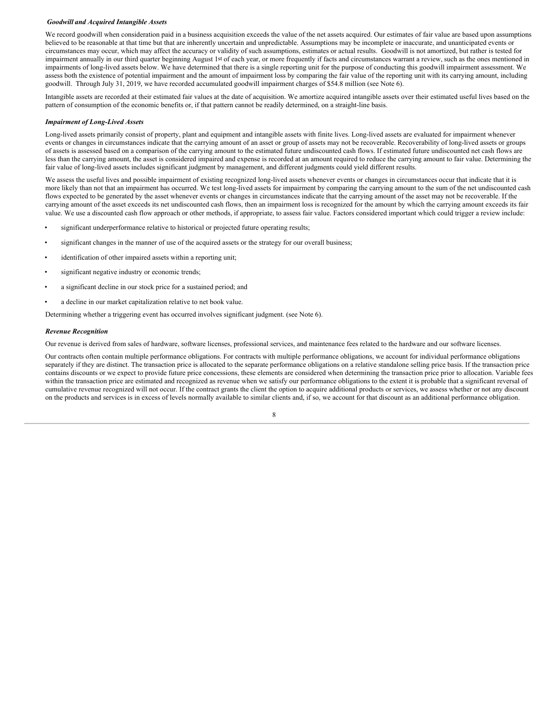#### *Goodwill and Acquired Intangible Assets*

We record goodwill when consideration paid in a business acquisition exceeds the value of the net assets acquired. Our estimates of fair value are based upon assumptions believed to be reasonable at that time but that are inherently uncertain and unpredictable. Assumptions may be incomplete or inaccurate, and unanticipated events or circumstances may occur, which may affect the accuracy or validity of such assumptions, estimates or actual results. Goodwill is not amortized, but rather is tested for impairment annually in our third quarter beginning August 1st of each year, or more frequently if facts and circumstances warrant a review, such as the ones mentioned in impairments of long-lived assets below. We have determined that there is a single reporting unit for the purpose of conducting this goodwill impairment assessment. We assess both the existence of potential impairment and the amount of impairment loss by comparing the fair value of the reporting unit with its carrying amount, including goodwill. Through July 31, 2019, we have recorded accumulated goodwill impairment charges of \$54.8 million (see Note 6).

Intangible assets are recorded at their estimated fair values at the date of acquisition. We amortize acquired intangible assets over their estimated useful lives based on the pattern of consumption of the economic benefits or, if that pattern cannot be readily determined, on a straight-line basis.

#### *Impairment of Long-Lived Assets*

Long-lived assets primarily consist of property, plant and equipment and intangible assets with finite lives. Long-lived assets are evaluated for impairment whenever events or changes in circumstances indicate that the carrying amount of an asset or group of assets may not be recoverable. Recoverability of long-lived assets or groups of assets is assessed based on a comparison of the carrying amount to the estimated future undiscounted cash flows. If estimated future undiscounted net cash flows are less than the carrying amount, the asset is considered impaired and expense is recorded at an amount required to reduce the carrying amount to fair value. Determining the fair value of long-lived assets includes significant judgment by management, and different judgments could yield different results.

We assess the useful lives and possible impairment of existing recognized long-lived assets whenever events or changes in circumstances occur that indicate that it is more likely than not that an impairment has occurred. We test long-lived assets for impairment by comparing the carrying amount to the sum of the net undiscounted cash flows expected to be generated by the asset whenever events or changes in circumstances indicate that the carrying amount of the asset may not be recoverable. If the carrying amount of the asset exceeds its net undiscounted cash flows, then an impairment loss is recognized for the amount by which the carrying amount exceeds its fair value. We use a discounted cash flow approach or other methods, if appropriate, to assess fair value. Factors considered important which could trigger a review include:

- significant underperformance relative to historical or projected future operating results;
- significant changes in the manner of use of the acquired assets or the strategy for our overall business;
- identification of other impaired assets within a reporting unit;
- significant negative industry or economic trends;
- a significant decline in our stock price for a sustained period; and
- a decline in our market capitalization relative to net book value.

Determining whether a triggering event has occurred involves significant judgment. (see Note 6).

#### *Revenue Recognition*

Our revenue is derived from sales of hardware, software licenses, professional services, and maintenance fees related to the hardware and our software licenses.

Our contracts often contain multiple performance obligations. For contracts with multiple performance obligations, we account for individual performance obligations separately if they are distinct. The transaction price is allocated to the separate performance obligations on a relative standalone selling price basis. If the transaction price contains discounts or we expect to provide future price concessions, these elements are considered when determining the transaction price prior to allocation. Variable fees within the transaction price are estimated and recognized as revenue when we satisfy our performance obligations to the extent it is probable that a significant reversal of cumulative revenue recognized will not occur. If the contract grants the client the option to acquire additional products or services, we assess whether or not any discount on the products and services is in excess of levels normally available to similar clients and, if so, we account for that discount as an additional performance obligation.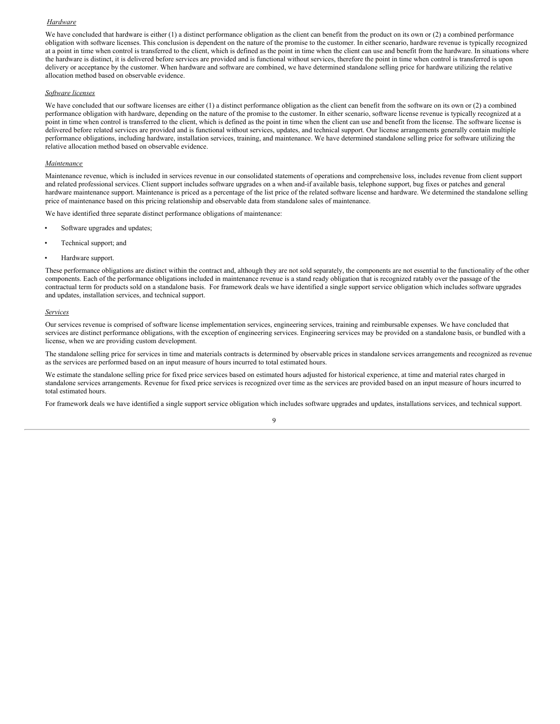## *Hardware*

We have concluded that hardware is either (1) a distinct performance obligation as the client can benefit from the product on its own or (2) a combined performance obligation with software licenses. This conclusion is dependent on the nature of the promise to the customer. In either scenario, hardware revenue is typically recognized at a point in time when control is transferred to the client, which is defined as the point in time when the client can use and benefit from the hardware. In situations where the hardware is distinct, it is delivered before services are provided and is functional without services, therefore the point in time when control is transferred is upon delivery or acceptance by the customer. When hardware and software are combined, we have determined standalone selling price for hardware utilizing the relative allocation method based on observable evidence.

#### *Software licenses*

We have concluded that our software licenses are either (1) a distinct performance obligation as the client can benefit from the software on its own or (2) a combined performance obligation with hardware, depending on the nature of the promise to the customer. In either scenario, software license revenue is typically recognized at a point in time when control is transferred to the client, which is defined as the point in time when the client can use and benefit from the license. The software license is delivered before related services are provided and is functional without services, updates, and technical support. Our license arrangements generally contain multiple performance obligations, including hardware, installation services, training, and maintenance. We have determined standalone selling price for software utilizing the relative allocation method based on observable evidence.

#### *Maintenance*

Maintenance revenue, which is included in services revenue in our consolidated statements of operations and comprehensive loss, includes revenue from client support and related professional services. Client support includes software upgrades on a when and-if available basis, telephone support, bug fixes or patches and general hardware maintenance support. Maintenance is priced as a percentage of the list price of the related software license and hardware. We determined the standalone selling price of maintenance based on this pricing relationship and observable data from standalone sales of maintenance.

We have identified three separate distinct performance obligations of maintenance:

- Software upgrades and updates;
- Technical support; and
- Hardware support.

These performance obligations are distinct within the contract and, although they are not sold separately, the components are not essential to the functionality of the other components. Each of the performance obligations included in maintenance revenue is a stand ready obligation that is recognized ratably over the passage of the contractual term for products sold on a standalone basis. For framework deals we have identified a single support service obligation which includes software upgrades and updates, installation services, and technical support.

#### *Services*

Our services revenue is comprised of software license implementation services, engineering services, training and reimbursable expenses. We have concluded that services are distinct performance obligations, with the exception of engineering services. Engineering services may be provided on a standalone basis, or bundled with a license, when we are providing custom development.

The standalone selling price for services in time and materials contracts is determined by observable prices in standalone services arrangements and recognized as revenue as the services are performed based on an input measure of hours incurred to total estimated hours.

We estimate the standalone selling price for fixed price services based on estimated hours adjusted for historical experience, at time and material rates charged in standalone services arrangements. Revenue for fixed price services is recognized over time as the services are provided based on an input measure of hours incurred to total estimated hours.

For framework deals we have identified a single support service obligation which includes software upgrades and updates, installations services, and technical support.

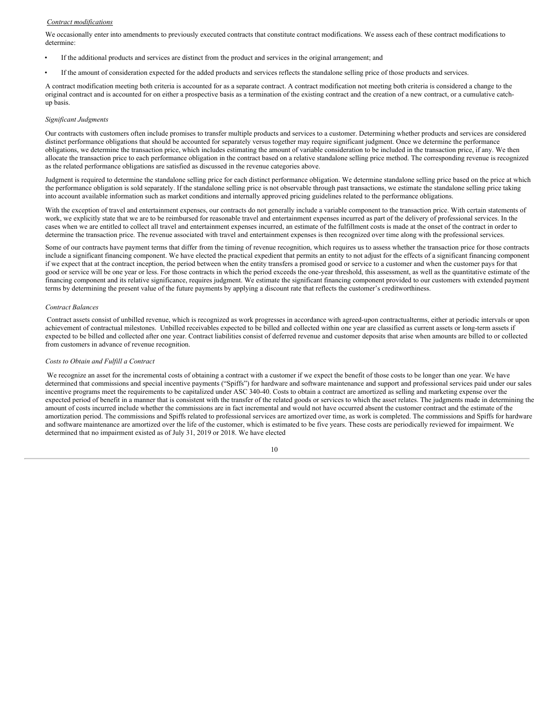#### *Contract modifications*

We occasionally enter into amendments to previously executed contracts that constitute contract modifications. We assess each of these contract modifications to determine:

- If the additional products and services are distinct from the product and services in the original arrangement; and
- If the amount of consideration expected for the added products and services reflects the standalone selling price of those products and services.

A contract modification meeting both criteria is accounted for as a separate contract. A contract modification not meeting both criteria is considered a change to the original contract and is accounted for on either a prospective basis as a termination of the existing contract and the creation of a new contract, or a cumulative catchup basis.

#### *Significant Judgments*

Our contracts with customers often include promises to transfer multiple products and services to a customer. Determining whether products and services are considered distinct performance obligations that should be accounted for separately versus together may require significant judgment. Once we determine the performance obligations, we determine the transaction price, which includes estimating the amount of variable consideration to be included in the transaction price, if any. We then allocate the transaction price to each performance obligation in the contract based on a relative standalone selling price method. The corresponding revenue is recognized as the related performance obligations are satisfied as discussed in the revenue categories above.

Judgment is required to determine the standalone selling price for each distinct performance obligation. We determine standalone selling price based on the price at which the performance obligation is sold separately. If the standalone selling price is not observable through past transactions, we estimate the standalone selling price taking into account available information such as market conditions and internally approved pricing guidelines related to the performance obligations.

With the exception of travel and entertainment expenses, our contracts do not generally include a variable component to the transaction price. With certain statements of work, we explicitly state that we are to be reimbursed for reasonable travel and entertainment expenses incurred as part of the delivery of professional services. In the cases when we are entitled to collect all travel and entertainment expenses incurred, an estimate of the fulfillment costs is made at the onset of the contract in order to determine the transaction price. The revenue associated with travel and entertainment expenses is then recognized over time along with the professional services.

Some of our contracts have payment terms that differ from the timing of revenue recognition, which requires us to assess whether the transaction price for those contracts include a significant financing component. We have elected the practical expedient that permits an entity to not adjust for the effects of a significant financing component if we expect that at the contract inception, the period between when the entity transfers a promised good or service to a customer and when the customer pays for that good or service will be one year or less. For those contracts in which the period exceeds the one-year threshold, this assessment, as well as the quantitative estimate of the financing component and its relative significance, requires judgment. We estimate the significant financing component provided to our customers with extended payment terms by determining the present value of the future payments by applying a discount rate that reflects the customer's creditworthiness.

#### *Contract Balances*

Contract assets consist of unbilled revenue, which is recognized as work progresses in accordance with agreed-upon contractualterms, either at periodic intervals or upon achievement of contractual milestones. Unbilled receivables expected to be billed and collected within one year are classified as current assets or long-term assets if expected to be billed and collected after one year. Contract liabilities consist of deferred revenue and customer deposits that arise when amounts are billed to or collected from customers in advance of revenue recognition.

## *Costs to Obtain and Fulfill a Contract*

We recognize an asset for the incremental costs of obtaining a contract with a customer if we expect the benefit of those costs to be longer than one year. We have determined that commissions and special incentive payments ("Spiffs") for hardware and software maintenance and support and professional services paid under our sales incentive programs meet the requirements to be capitalized under ASC 340-40. Costs to obtain a contract are amortized as selling and marketing expense over the expected period of benefit in a manner that is consistent with the transfer of the related goods or services to which the asset relates. The judgments made in determining the amount of costs incurred include whether the commissions are in fact incremental and would not have occurred absent the customer contract and the estimate of the amortization period. The commissions and Spiffs related to professional services are amortized over time, as work is completed. The commissions and Spiffs for hardware and software maintenance are amortized over the life of the customer, which is estimated to be five years. These costs are periodically reviewed for impairment. We determined that no impairment existed as of July 31, 2019 or 2018. We have elected

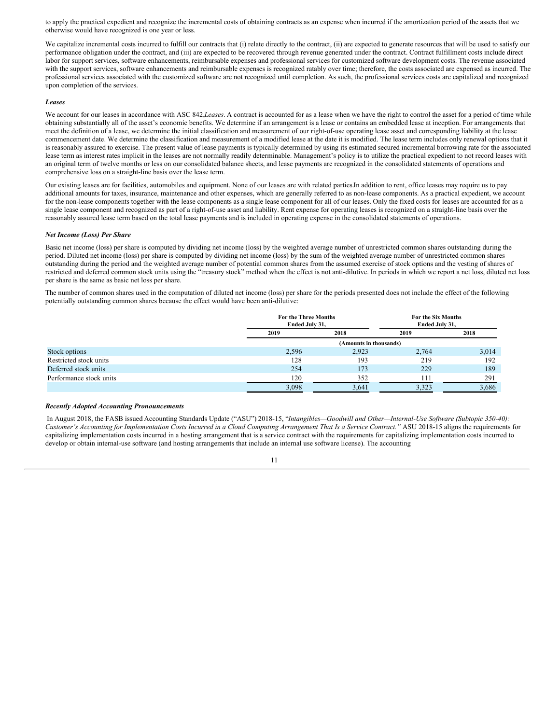to apply the practical expedient and recognize the incremental costs of obtaining contracts as an expense when incurred if the amortization period of the assets that we otherwise would have recognized is one year or less.

We capitalize incremental costs incurred to fulfill our contracts that (i) relate directly to the contract, (ii) are expected to generate resources that will be used to satisfy our performance obligation under the contract, and (iii) are expected to be recovered through revenue generated under the contract. Contract fulfillment costs include direct labor for support services, software enhancements, reimbursable expenses and professional services for customized software development costs. The revenue associated with the support services, software enhancements and reimbursable expenses is recognized ratably over time; therefore, the costs associated are expensed as incurred. The professional services associated with the customized software are not recognized until completion. As such, the professional services costs are capitalized and recognized upon completion of the services.

#### *Leases*

We account for our leases in accordance with ASC 842,*Leases*. A contract is accounted for as a lease when we have the right to control the asset for a period of time while obtaining substantially all of the asset's economic benefits. We determine if an arrangement is a lease or contains an embedded lease at inception. For arrangements that meet the definition of a lease, we determine the initial classification and measurement of our right-of-use operating lease asset and corresponding liability at the lease commencement date. We determine the classification and measurement of a modified lease at the date it is modified. The lease term includes only renewal options that it is reasonably assured to exercise. The present value of lease payments is typically determined by using its estimated secured incremental borrowing rate for the associated lease term as interest rates implicit in the leases are not normally readily determinable. Management's policy is to utilize the practical expedient to not record leases with an original term of twelve months or less on our consolidated balance sheets, and lease payments are recognized in the consolidated statements of operations and comprehensive loss on a straight-line basis over the lease term.

Our existing leases are for facilities, automobiles and equipment. None of our leases are with related parties.In addition to rent, office leases may require us to pay additional amounts for taxes, insurance, maintenance and other expenses, which are generally referred to as non-lease components. As a practical expedient, we account for the non-lease components together with the lease components as a single lease component for all of our leases. Only the fixed costs for leases are accounted for as a single lease component and recognized as part of a right-of-use asset and liability. Rent expense for operating leases is recognized on a straight-line basis over the reasonably assured lease term based on the total lease payments and is included in operating expense in the consolidated statements of operations.

#### *Net Income (Loss) Per Share*

Basic net income (loss) per share is computed by dividing net income (loss) by the weighted average number of unrestricted common shares outstanding during the period. Diluted net income (loss) per share is computed by dividing net income (loss) by the sum of the weighted average number of unrestricted common shares outstanding during the period and the weighted average number of potential common shares from the assumed exercise of stock options and the vesting of shares of restricted and deferred common stock units using the "treasury stock" method when the effect is not anti-dilutive. In periods in which we report a net loss, diluted net loss per share is the same as basic net loss per share.

The number of common shares used in the computation of diluted net income (loss) per share for the periods presented does not include the effect of the following potentially outstanding common shares because the effect would have been anti-dilutive:

|                         | <b>For the Three Months</b><br>Ended July 31, |                        |       | For the Six Months<br>Ended July 31, |  |  |
|-------------------------|-----------------------------------------------|------------------------|-------|--------------------------------------|--|--|
|                         | 2019                                          | 2018                   | 2019  | 2018                                 |  |  |
|                         |                                               | (Amounts in thousands) |       |                                      |  |  |
| Stock options           | 2,596                                         | 2,923                  | 2,764 | 3,014                                |  |  |
| Restricted stock units  | 128                                           | 193                    | 219   | 192                                  |  |  |
| Deferred stock units    | 254                                           | 173                    | 229   | 189                                  |  |  |
| Performance stock units | 120                                           | 352                    | 111   | 291                                  |  |  |
|                         | 3,098                                         | 3,641                  | 3,323 | 3,686                                |  |  |

#### *Recently Adopted Accounting Pronouncements*

In August 2018, the FASB issued Accounting Standards Update ("ASU") 2018-15, "*Intangibles—Goodwill and Other—Internal-Use Software (Subtopic 350-40):* Customer's Accounting for Implementation Costs Incurred in a Cloud Computing Arrangement That Is a Service Contract." ASU 2018-15 aligns the requirements for capitalizing implementation costs incurred in a hosting arrangement that is a service contract with the requirements for capitalizing implementation costs incurred to develop or obtain internal-use software (and hosting arrangements that include an internal use software license). The accounting

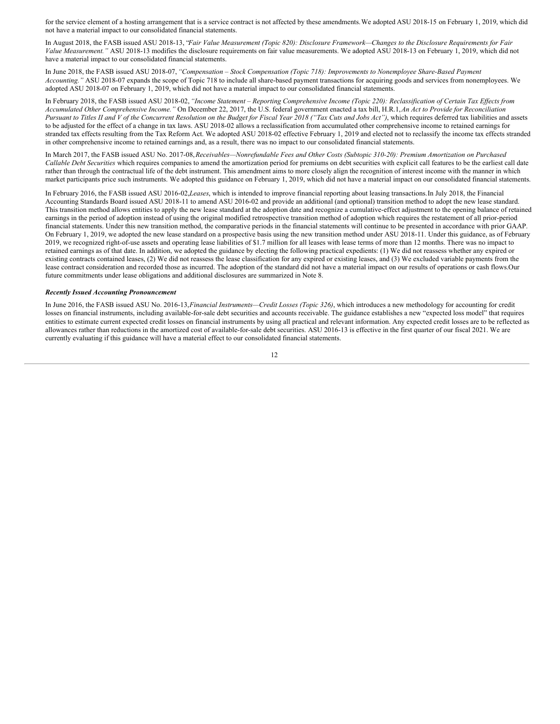for the service element of a hosting arrangement that is a service contract is not affected by these amendments.We adopted ASU 2018-15 on February 1, 2019, which did not have a material impact to our consolidated financial statements.

In August 2018, the FASB issued ASU 2018-13, 'Fair Value Measurement (Topic 820): Disclosure Framework-Changes to the Disclosure Requirements for Fair *Value Measurement."* ASU 2018-13 modifies the disclosure requirements on fair value measurements. We adopted ASU 2018-13 on February 1, 2019, which did not have a material impact to our consolidated financial statements.

In June 2018, the FASB issued ASU 2018-07, *"Compensation – Stock Compensation (Topic 718): Improvements to Nonemployee Share-Based Payment Accounting."* ASU 2018-07 expands the scope of Topic 718 to include all share-based payment transactions for acquiring goods and services from nonemployees. We adopted ASU 2018-07 on February 1, 2019, which did not have a material impact to our consolidated financial statements.

In February 2018, the FASB issued ASU 2018-02, "Income Statement - Reporting Comprehensive Income (Topic 220): Reclassification of Certain Tax Effects from *Accumulated Other Comprehensive Income."* On December 22, 2017, the U.S. federal government enacted a tax bill, H.R.1,*An Act to Provide for Reconciliation* Pursuant to Titles II and V of the Concurrent Resolution on the Budget for Fiscal Year 2018 ("Tax Cuts and Jobs Act"), which requires deferred tax liabilities and assets to be adjusted for the effect of a change in tax laws. ASU 2018-02 allows a reclassification from accumulated other comprehensive income to retained earnings for stranded tax effects resulting from the Tax Reform Act. We adopted ASU 2018-02 effective February 1, 2019 and elected not to reclassify the income tax effects stranded in other comprehensive income to retained earnings and, as a result, there was no impact to our consolidated financial statements.

In March 2017, the FASB issued ASU No. 2017-08,*Receivables—Nonrefundable Fees and Other Costs (Subtopic 310-20): Premium Amortization on Purchased Callable Debt Securities* which requires companies to amend the amortization period for premiums on debt securities with explicit call features to be the earliest call date rather than through the contractual life of the debt instrument. This amendment aims to more closely align the recognition of interest income with the manner in which market participants price such instruments. We adopted this guidance on February 1, 2019, which did not have a material impact on our consolidated financial statements.

In February 2016, the FASB issued ASU 2016-02,*Leases*, which is intended to improve financial reporting about leasing transactions.In July 2018, the Financial Accounting Standards Board issued ASU 2018-11 to amend ASU 2016-02 and provide an additional (and optional) transition method to adopt the new lease standard. This transition method allows entities to apply the new lease standard at the adoption date and recognize a cumulative-effect adjustment to the opening balance of retained earnings in the period of adoption instead of using the original modified retrospective transition method of adoption which requires the restatement of all prior-period financial statements. Under this new transition method, the comparative periods in the financial statements will continue to be presented in accordance with prior GAAP. On February 1, 2019, we adopted the new lease standard on a prospective basis using the new transition method under ASU 2018-11. Under this guidance, as of February 2019, we recognized right-of-use assets and operating lease liabilities of \$1.7 million for all leases with lease terms of more than 12 months. There was no impact to retained earnings as of that date. In addition, we adopted the guidance by electing the following practical expedients: (1) We did not reassess whether any expired or existing contracts contained leases, (2) We did not reassess the lease classification for any expired or existing leases, and (3) We excluded variable payments from the lease contract consideration and recorded those as incurred. The adoption of the standard did not have a material impact on our results of operations or cash flows.Our future commitments under lease obligations and additional disclosures are summarized in Note 8.

#### *Recently Issued Accounting Pronouncement*

In June 2016, the FASB issued ASU No. 2016-13,*Financial Instruments—Credit Losses (Topic 326)*, which introduces a new methodology for accounting for credit losses on financial instruments, including available-for-sale debt securities and accounts receivable. The guidance establishes a new "expected loss model" that requires entities to estimate current expected credit losses on financial instruments by using all practical and relevant information. Any expected credit losses are to be reflected as allowances rather than reductions in the amortized cost of available-for-sale debt securities. ASU 2016-13 is effective in the first quarter of our fiscal 2021. We are currently evaluating if this guidance will have a material effect to our consolidated financial statements.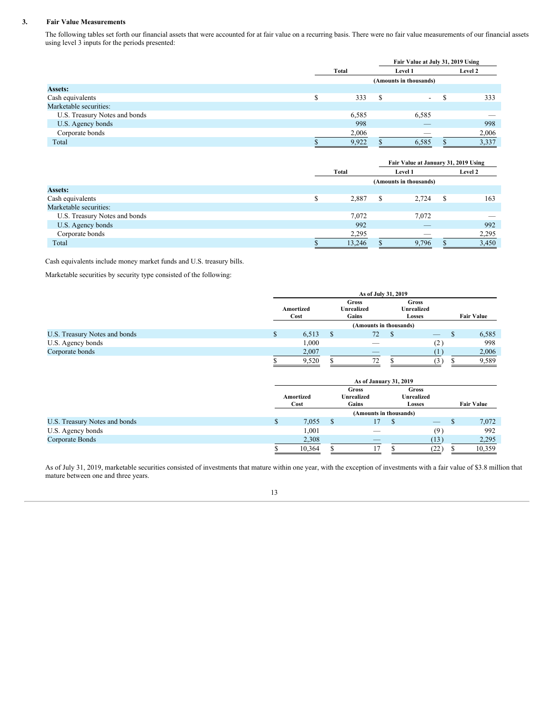## **3. Fair Value Measurements**

The following tables set forth our financial assets that were accounted for at fair value on a recurring basis. There were no fair value measurements of our financial assets using level 3 inputs for the periods presented:

|                               |       |  | Fair Value at July 31, 2019 Using |                |        |  |
|-------------------------------|-------|--|-----------------------------------|----------------|--------|--|
|                               | Total |  | Level 1                           | <b>Level 2</b> |        |  |
|                               |       |  | (Amounts in thousands)            |                |        |  |
|                               |       |  |                                   |                |        |  |
|                               | 333   |  | $\sim$                            | <b>S</b>       | 333    |  |
| Marketable securities:        |       |  |                                   |                |        |  |
| U.S. Treasury Notes and bonds | 6,585 |  | 6,585                             |                | $\sim$ |  |
| U.S. Agency bonds             | 998   |  |                                   |                | 998    |  |
|                               | 2,006 |  | $\overline{\phantom{a}}$          |                | 2,006  |  |
|                               | 9,922 |  | 6,585                             |                | 3,337  |  |

|                               |              |                        | Fair Value at January 31, 2019 Using |   |         |  |
|-------------------------------|--------------|------------------------|--------------------------------------|---|---------|--|
|                               | <b>Total</b> |                        | Level 1                              |   | Level 2 |  |
|                               |              | (Amounts in thousands) |                                      |   |         |  |
|                               |              |                        |                                      |   |         |  |
| Cash equivalents              | 2,887        |                        | 2,724                                | S | 163     |  |
| Marketable securities:        |              |                        |                                      |   |         |  |
| U.S. Treasury Notes and bonds | 7,072        |                        | 7,072                                |   |         |  |
| U.S. Agency bonds             | 992          |                        |                                      |   | 992     |  |
| Corporate bonds               | 2,295        |                        | $\overline{\phantom{a}}$             |   | 2,295   |  |
|                               | 13,246       |                        | 9,796                                |   | 3,450   |  |

Cash equivalents include money market funds and U.S. treasury bills.

Marketable securities by security type consisted of the following:

|                               | As of July 31, 2019 |       |  |                                     |  |                                      |  |                   |
|-------------------------------|---------------------|-------|--|-------------------------------------|--|--------------------------------------|--|-------------------|
|                               | Amortized<br>Cost   |       |  | Gross<br><b>Unrealized</b><br>Gains |  | Gross<br><b>Unrealized</b><br>Losses |  | <b>Fair Value</b> |
|                               |                     |       |  | (Amounts in thousands)              |  |                                      |  |                   |
| U.S. Treasury Notes and bonds |                     | 6,513 |  | 72                                  |  | $\hspace{0.1mm}-\hspace{0.1mm}$      |  | 6,585             |
| U.S. Agency bonds             |                     | 1,000 |  | $\overline{\phantom{a}}$            |  | (2)                                  |  | 998               |
| Corporate bonds               |                     | 2,007 |  | $\overline{\phantom{a}}$            |  |                                      |  | 2,006             |
|                               |                     | 9,520 |  | 72                                  |  | ' گ،                                 |  | 9,589             |

|                               | As of January 31, 2019 |                   |  |                                            |                                      |              |  |                   |
|-------------------------------|------------------------|-------------------|--|--------------------------------------------|--------------------------------------|--------------|--|-------------------|
|                               |                        | Amortized<br>Cost |  | <b>Gross</b><br><b>Unrealized</b><br>Gains | Gross<br><b>Unrealized</b><br>Losses |              |  | <b>Fair Value</b> |
|                               |                        |                   |  | (Amounts in thousands)                     |                                      |              |  |                   |
| U.S. Treasury Notes and bonds | \$                     | 7,055             |  | 17                                         | S                                    |              |  | 7,072             |
| U.S. Agency bonds             |                        | 1,001             |  | -                                          |                                      | (9)          |  | 992               |
| Corporate Bonds               |                        | 2,308             |  | $\overline{\phantom{a}}$                   |                                      | $13^{\circ}$ |  | 2,295             |
|                               |                        | 10,364            |  |                                            |                                      | (22)         |  | 10,359            |

As of July 31, 2019, marketable securities consisted of investments that mature within one year, with the exception of investments with a fair value of \$3.8 million that mature between one and three years.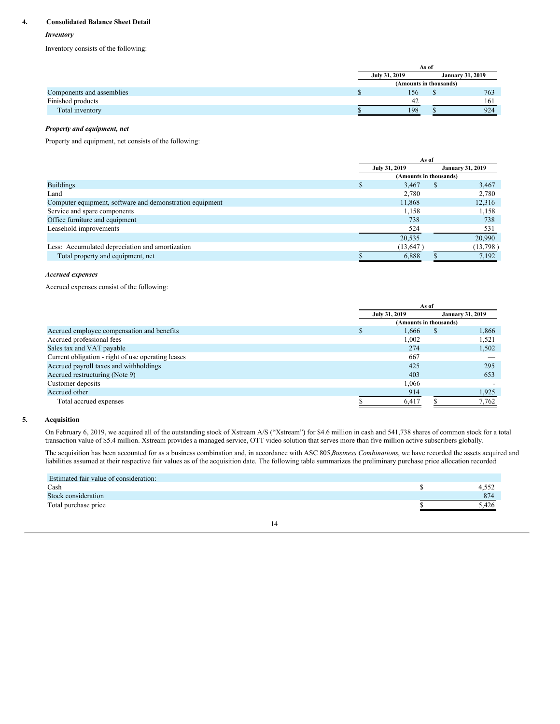## **4. Consolidated Balance Sheet Detail**

## *Inventory*

Inventory consists of the following:

|                           | As of                  |                         |     |  |  |
|---------------------------|------------------------|-------------------------|-----|--|--|
|                           | July 31, 2019          | <b>January 31, 2019</b> |     |  |  |
|                           | (Amounts in thousands) |                         |     |  |  |
| Components and assemblies | 156                    |                         | 763 |  |  |
| Finished products         | 42                     |                         | 161 |  |  |
| Total inventory           | 198                    |                         | 924 |  |  |

## *Property and equipment, net*

Property and equipment, net consists of the following:

|                                                          |  | As of                  |   |                         |  |  |
|----------------------------------------------------------|--|------------------------|---|-------------------------|--|--|
|                                                          |  | July 31, 2019          |   | <b>January 31, 2019</b> |  |  |
|                                                          |  | (Amounts in thousands) |   |                         |  |  |
| <b>Buildings</b>                                         |  | 3,467                  | S | 3,467                   |  |  |
| Land                                                     |  | 2,780                  |   | 2,780                   |  |  |
| Computer equipment, software and demonstration equipment |  | 11,868                 |   | 12,316                  |  |  |
| Service and spare components                             |  | 1,158                  |   | 1,158                   |  |  |
| Office furniture and equipment                           |  | 738                    |   | 738                     |  |  |
| Leasehold improvements                                   |  | 524                    |   | 531                     |  |  |
|                                                          |  | 20,535                 |   | 20,990                  |  |  |
| Less: Accumulated depreciation and amortization          |  | (13, 647)              |   | (13,798)                |  |  |
| Total property and equipment, net                        |  | 6,888                  |   | 7,192                   |  |  |

#### *Accrued expenses*

Accrued expenses consist of the following:

|                                                    |    | As of                                    |   |       |  |  |
|----------------------------------------------------|----|------------------------------------------|---|-------|--|--|
|                                                    |    | <b>January 31, 2019</b><br>July 31, 2019 |   |       |  |  |
|                                                    |    | (Amounts in thousands)                   |   |       |  |  |
| Accrued employee compensation and benefits         | Ъ. | 1.666                                    | S | 1,866 |  |  |
| Accrued professional fees                          |    | 1,002                                    |   | 1,521 |  |  |
| Sales tax and VAT payable                          |    | 274                                      |   | 1,502 |  |  |
| Current obligation - right of use operating leases |    | 667                                      |   |       |  |  |
| Accrued payroll taxes and withholdings             |    | 425                                      |   | 295   |  |  |
| Accrued restructuring (Note 9)                     |    | 403                                      |   | 653   |  |  |
| Customer deposits                                  |    | 1,066                                    |   |       |  |  |
| Accrued other                                      |    | 914                                      |   | 1,925 |  |  |
| Total accrued expenses                             |    | 6.417                                    |   | 7,762 |  |  |

### **5. Acquisition**

On February 6, 2019, we acquired all of the outstanding stock of Xstream A/S ("Xstream") for \$4.6 million in cash and 541,738 shares of common stock for a total transaction value of \$5.4 million. Xstream provides a managed service, OTT video solution that serves more than five million active subscribers globally.

The acquisition has been accounted for as a business combination and, in accordance with ASC 805,*Business Combinations*, we have recorded the assets acquired and liabilities assumed at their respective fair values as of the acquisition date. The following table summarizes the preliminary purchase price allocation recorded

| Estimated fair value of consideration: |       |
|----------------------------------------|-------|
| Cash                                   |       |
| Stock consideration                    | 874   |
| Total purchase price                   | 5.426 |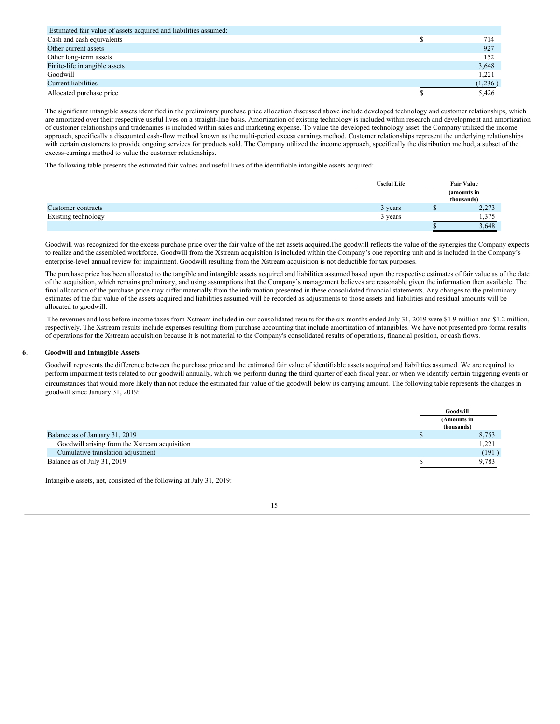| Estimated fair value of assets acquired and liabilities assumed: |         |
|------------------------------------------------------------------|---------|
| Cash and cash equivalents                                        | 714     |
| Other current assets                                             | 927     |
| Other long-term assets                                           | 152     |
| Finite-life intangible assets                                    | 3,648   |
| Goodwill                                                         | 1,221   |
| Current liabilities                                              | (1,236) |
| Allocated purchase price                                         | 5,426   |

The significant intangible assets identified in the preliminary purchase price allocation discussed above include developed technology and customer relationships, which are amortized over their respective useful lives on a straight-line basis. Amortization of existing technology is included within research and development and amortization of customer relationships and tradenames is included within sales and marketing expense. To value the developed technology asset, the Company utilized the income approach, specifically a discounted cash-flow method known as the multi-period excess earnings method. Customer relationships represent the underlying relationships with certain customers to provide ongoing services for products sold. The Company utilized the income approach, specifically the distribution method, a subset of the excess-earnings method to value the customer relationships.

The following table presents the estimated fair values and useful lives of the identifiable intangible assets acquired:

|                     | <b>Useful Life</b> | <b>Fair Value</b>         |  |
|---------------------|--------------------|---------------------------|--|
|                     |                    | (amounts in<br>thousands) |  |
| Customer contracts  | 3 years            | 2,273<br>D                |  |
| Existing technology | 3 years            | 1,375                     |  |
|                     |                    | 3,648<br>D                |  |

Goodwill was recognized for the excess purchase price over the fair value of the net assets acquired.The goodwill reflects the value of the synergies the Company expects to realize and the assembled workforce. Goodwill from the Xstream acquisition is included within the Company's one reporting unit and is included in the Company's enterprise-level annual review for impairment. Goodwill resulting from the Xstream acquisition is not deductible for tax purposes.

The purchase price has been allocated to the tangible and intangible assets acquired and liabilities assumed based upon the respective estimates of fair value as of the date of the acquisition, which remains preliminary, and using assumptions that the Company's management believes are reasonable given the information then available. The final allocation of the purchase price may differ materially from the information presented in these consolidated financial statements. Any changes to the preliminary estimates of the fair value of the assets acquired and liabilities assumed will be recorded as adjustments to those assets and liabilities and residual amounts will be allocated to goodwill.

The revenues and loss before income taxes from Xstream included in our consolidated results for the six months ended July 31, 2019 were \$1.9 million and \$1.2 million, respectively. The Xstream results include expenses resulting from purchase accounting that include amortization of intangibles. We have not presented pro forma results of operations for the Xstream acquisition because it is not material to the Company's consolidated results of operations, financial position, or cash flows.

## **6**. **Goodwill and Intangible Assets**

Goodwill represents the difference between the purchase price and the estimated fair value of identifiable assets acquired and liabilities assumed. We are required to perform impairment tests related to our goodwill annually, which we perform during the third quarter of each fiscal year, or when we identify certain triggering events or circumstances that would more likely than not reduce the estimated fair value of the goodwill below its carrying amount. The following table represents the changes in goodwill since January 31, 2019:

|                                               | Goodwill                  |
|-----------------------------------------------|---------------------------|
|                                               | (Amounts in<br>thousands) |
| Balance as of January 31, 2019                | 8,753                     |
| Goodwill arising from the Xstream acquisition | 1,221                     |
| Cumulative translation adjustment             | (191)                     |
| Balance as of July 31, 2019                   | 9.783                     |

Intangible assets, net, consisted of the following at July 31, 2019:

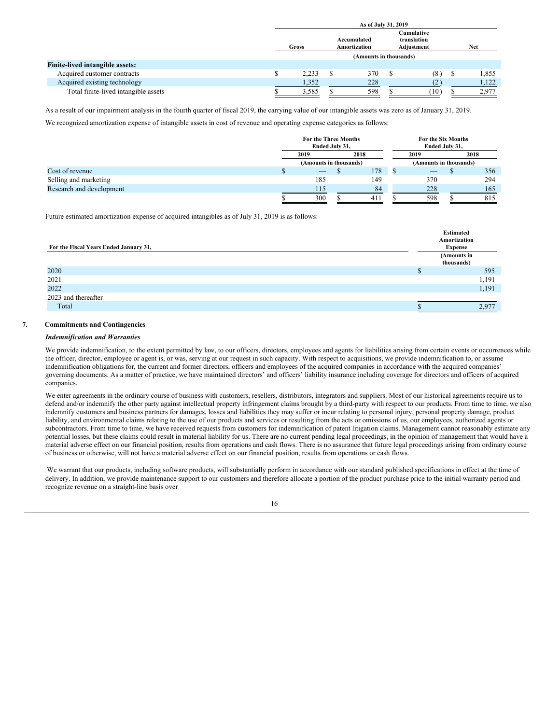|                                        | As of July 31, 2019    |  |                             |  |                                         |  |            |
|----------------------------------------|------------------------|--|-----------------------------|--|-----------------------------------------|--|------------|
|                                        | <b>Gross</b>           |  | Accumulated<br>Amortization |  | Cumulative<br>translation<br>Adiustment |  | <b>Net</b> |
|                                        | (Amounts in thousands) |  |                             |  |                                         |  |            |
| <b>Finite-lived intangible assets:</b> |                        |  |                             |  |                                         |  |            |
| Acquired customer contracts            | 2,233                  |  | 370                         |  | (8)                                     |  | 1,855      |
| Acquired existing technology           | 1,352                  |  | 228                         |  | (2)                                     |  | 1,122      |
| Total finite-lived intangible assets   | 3,585                  |  | 598                         |  | (10)                                    |  | 2,977      |

As a result of our impairment analysis in the fourth quarter of fiscal 2019, the carrying value of our intangible assets was zero as of January 31, 2019.

We recognized amortization expense of intangible assets in cost of revenue and operating expense categories as follows:

|                          | <b>For the Three Months</b><br>Ended July 31, |  |        | For the Six Months<br>Ended July 31, |                        |      |
|--------------------------|-----------------------------------------------|--|--------|--------------------------------------|------------------------|------|
|                          | 2019                                          |  | 2018   | 2019                                 |                        | 2018 |
|                          | (Amounts in thousands)                        |  |        |                                      | (Amounts in thousands) |      |
| Cost of revenue          | $\hspace{0.1mm}-\hspace{0.1mm}$               |  | 178    | $\overline{\phantom{a}}$             |                        | 356  |
| Selling and marketing    | 185                                           |  | 149    | 370                                  |                        | 294  |
| Research and development | 115                                           |  | 84     | 228                                  |                        | 165  |
|                          | 300                                           |  | $-41i$ | 598                                  |                        | 815  |

Future estimated amortization expense of acquired intangibles as of July 31, 2019 is as follows:

|                                        | <b>Estimated</b>          |
|----------------------------------------|---------------------------|
|                                        | Amortization              |
| For the Fiscal Years Ended January 31, | Expense                   |
|                                        | (Amounts in<br>thousands) |
| 2020                                   | 595                       |
| 2021                                   | 1,191                     |
| 2022                                   | 1,191                     |
| 2023 and thereafter                    | $\overline{\phantom{a}}$  |
| Total                                  | 2,977                     |

#### **7. Commitments and Contingencies**

## *Indemnification and Warranties*

We provide indemnification, to the extent permitted by law, to our officers, directors, employees and agents for liabilities arising from certain events or occurrences while the officer, director, employee or agent is, or was, serving at our request in such capacity. With respect to acquisitions, we provide indemnification to, or assume indemnification obligations for, the current and former directors, officers and employees of the acquired companies in accordance with the acquired companies' governing documents. As a matter of practice, we have maintained directors' and officers' liability insurance including coverage for directors and officers of acquired companies.

We enter agreements in the ordinary course of business with customers, resellers, distributors, integrators and suppliers. Most of our historical agreements require us to defend and/or indemnify the other party against intellectual property infringement claims brought by a third-party with respect to our products. From time to time, we also indemnify customers and business partners for damages, losses and liabilities they may suffer or incur relating to personal injury, personal property damage, product liability, and environmental claims relating to the use of our products and services or resulting from the acts or omissions of us, our employees, authorized agents or subcontractors. From time to time, we have received requests from customers for indemnification of patent litigation claims. Management cannot reasonably estimate any potential losses, but these claims could result in material liability for us. There are no current pending legal proceedings, in the opinion of management that would have a material adverse effect on our financial position, results from operations and cash flows. There is no assurance that future legal proceedings arising from ordinary course of business or otherwise, will not have a material adverse effect on our financial position, results from operations or cash flows.

We warrant that our products, including software products, will substantially perform in accordance with our standard published specifications in effect at the time of delivery. In addition, we provide maintenance support to our customers and therefore allocate a portion of the product purchase price to the initial warranty period and recognize revenue on a straight-line basis over

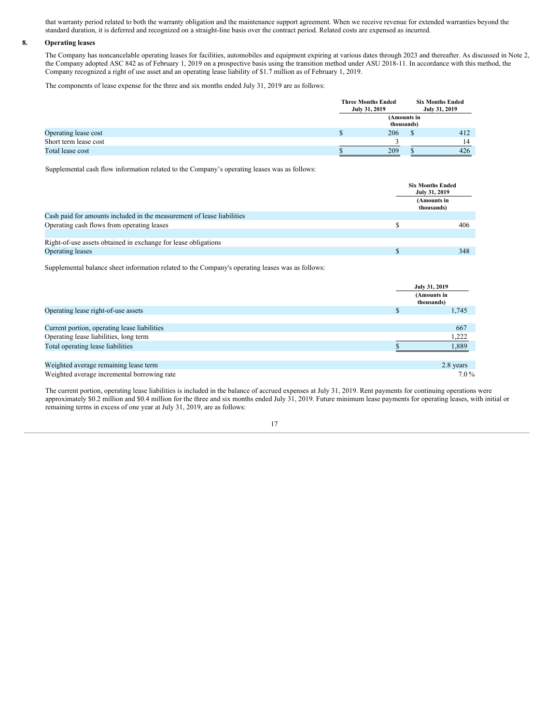that warranty period related to both the warranty obligation and the maintenance support agreement. When we receive revenue for extended warranties beyond the standard duration, it is deferred and recognized on a straight-line basis over the contract period. Related costs are expensed as incurred.

#### **8. Operating leases**

The Company has noncancelable operating leases for facilities, automobiles and equipment expiring at various dates through 2023 and thereafter. As discussed in Note 2, the Company adopted ASC 842 as of February 1, 2019 on a prospective basis using the transition method under ASU 2018-11. In accordance with this method, the Company recognized a right of use asset and an operating lease liability of \$1.7 million as of February 1, 2019.

The components of lease expense for the three and six months ended July 31, 2019 are as follows:

|                       | <b>Three Months Ended</b><br>July 31, 2019 |  | <b>Six Months Ended</b><br>July 31, 2019 |  |
|-----------------------|--------------------------------------------|--|------------------------------------------|--|
|                       | (Amounts in<br>thousands)                  |  |                                          |  |
| Operating lease cost  | 206                                        |  | 412                                      |  |
| Short term lease cost |                                            |  | 14                                       |  |
| Total lease cost      | 209                                        |  | 426                                      |  |

Supplemental cash flow information related to the Company's operating leases was as follows:

|                                                                        | <b>Six Months Ended</b><br>July 31, 2019<br>(Amounts in<br>thousands) |
|------------------------------------------------------------------------|-----------------------------------------------------------------------|
| Cash paid for amounts included in the measurement of lease liabilities |                                                                       |
| Operating cash flows from operating leases                             | 406                                                                   |
| Right-of-use assets obtained in exchange for lease obligations         |                                                                       |
| <b>Operating leases</b>                                                | 348                                                                   |

Supplemental balance sheet information related to the Company's operating leases was as follows:

|                                              | July 31, 2019             |
|----------------------------------------------|---------------------------|
|                                              | (Amounts in<br>thousands) |
| Operating lease right-of-use assets          | 1,745                     |
|                                              |                           |
| Current portion, operating lease liabilities | 667                       |
| Operating lease liabilities, long term       | 1,222                     |
| Total operating lease liabilities            | 1,889                     |
|                                              |                           |
| Weighted average remaining lease term        | 2.8 years                 |

Weighted average incremental borrowing rate  $7.0\%$ 

The current portion, operating lease liabilities is included in the balance of accrued expenses at July 31, 2019. Rent payments for continuing operations were approximately \$0.2 million and \$0.4 million for the three and six months ended July 31, 2019. Future minimum lease payments for operating leases, with initial or remaining terms in excess of one year at July 31, 2019, are as follows: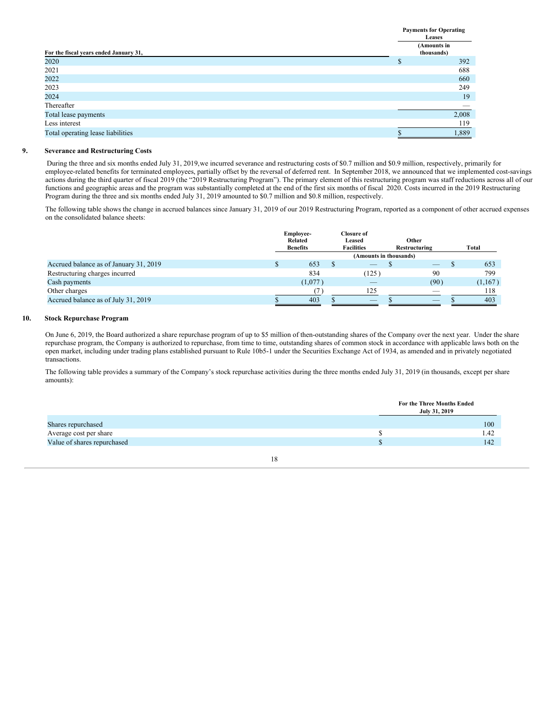|                                        |        | <b>Payments for Operating</b><br>Leases |
|----------------------------------------|--------|-----------------------------------------|
| For the fiscal years ended January 31, |        | (Amounts in<br>thousands)               |
| 2020                                   | ሖ<br>Ф | 392                                     |
| 2021                                   |        | 688                                     |
| 2022                                   |        | 660                                     |
| 2023                                   |        | 249                                     |
| 2024                                   |        | 19                                      |
| Thereafter                             |        |                                         |
| Total lease payments                   |        | 2,008                                   |
| Less interest                          |        | 119                                     |
| Total operating lease liabilities      |        | 1,889                                   |

## **9. Severance and Restructuring Costs**

During the three and six months ended July 31, 2019, we incurred severance and restructuring costs of \$0.7 million and \$0.9 million, respectively, primarily for employee-related benefits for terminated employees, partially offset by the reversal of deferred rent. In September 2018, we announced that we implemented cost-savings actions during the third quarter of fiscal 2019 (the "2019 Restructuring Program"). The primary element of this restructuring program was staff reductions across all of our functions and geographic areas and the program was substantially completed at the end of the first six months of fiscal 2020. Costs incurred in the 2019 Restructuring Program during the three and six months ended July 31, 2019 amounted to \$0.7 million and \$0.8 million, respectively.

The following table shows the change in accrued balances since January 31, 2019 of our 2019 Restructuring Program, reported as a component of other accrued expenses on the consolidated balance sheets:

|                                        | <b>Employee-</b><br>Related<br><b>Benefits</b> |   | <b>Closure of</b><br>Leased<br><b>Facilities</b> | Other<br>Restructuring | Total   |
|----------------------------------------|------------------------------------------------|---|--------------------------------------------------|------------------------|---------|
|                                        |                                                |   | (Amounts in thousands)                           |                        |         |
| Accrued balance as of January 31, 2019 | 653                                            | S |                                                  | $-$                    | 653     |
| Restructuring charges incurred         | 834                                            |   | (125)                                            | 90                     | 799     |
| Cash payments                          | (1,077)                                        |   | $-$                                              | (90)                   | (1,167) |
| Other charges                          |                                                |   | 125                                              | _                      | 118     |
| Accrued balance as of July 31, 2019    | 403                                            |   | $-$                                              | _                      | 403     |

## **10. Stock Repurchase Program**

On June 6, 2019, the Board authorized a share repurchase program of up to \$5 million of then-outstanding shares of the Company over the next year. Under the share repurchase program, the Company is authorized to repurchase, from time to time, outstanding shares of common stock in accordance with applicable laws both on the open market, including under trading plans established pursuant to Rule 10b5-1 under the Securities Exchange Act of 1934, as amended and in privately negotiated transactions.

The following table provides a summary of the Company's stock repurchase activities during the three months ended July 31, 2019 (in thousands, except per share amounts):

|                             | For the Three Months Ended<br>July 31, 2019 |
|-----------------------------|---------------------------------------------|
| Shares repurchased          | 100                                         |
| Average cost per share      | 1.42                                        |
| Value of shares repurchased | 142                                         |
|                             |                                             |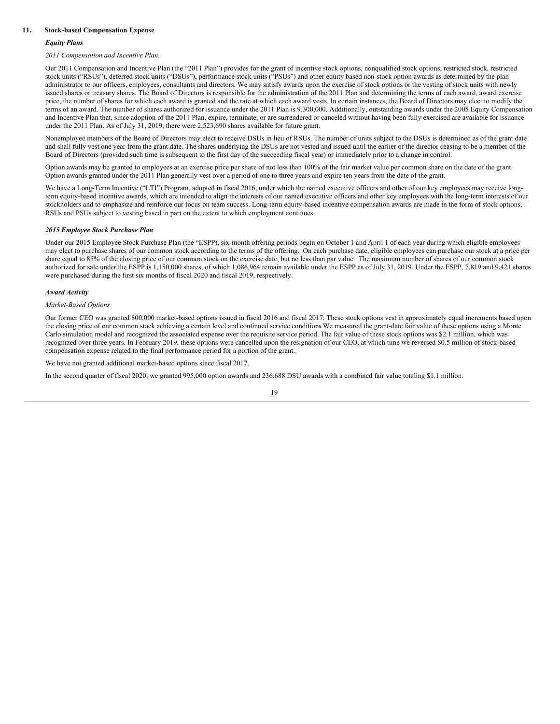#### **11. Stock-based Compensation Expense**

#### *Equity Plans*

## *2011 Compensation and Incentive Plan.*

Our 2011 Compensation and Incentive Plan (the "2011 Plan") provides for the grant of incentive stock options, nonqualified stock options, restricted stock, restricted stock units ("RSUs"), deferred stock units ("DSUs"), performance stock units ("PSUs") and other equity based non-stock option awards as determined by the plan administrator to our officers, employees, consultants and directors. We may satisfy awards upon the exercise of stock options or the vesting of stock units with newly issued shares or treasury shares. The Board of Directors is responsible for the administration of the 2011 Plan and determining the terms of each award, award exercise price, the number of shares for which each award is granted and the rate at which each award vests. In certain instances, the Board of Directors may elect to modify the terms of an award. The number of shares authorized for issuance under the 2011 Plan is 9,300,000. Additionally, outstanding awards under the 2005 Equity Compensation and Incentive Plan that, since adoption of the 2011 Plan, expire, terminate, or are surrendered or canceled without having been fully exercised are available for issuance under the 2011 Plan. As of July 31, 2019, there were 2,523,690 shares available for future grant.

Nonemployee members of the Board of Directors may elect to receive DSUs in lieu of RSUs. The number of units subject to the DSUs is determined as of the grant date and shall fully vest one year from the grant date. The shares underlying the DSUs are not vested and issued until the earlier of the director ceasing to be a member of the Board of Directors (provided such time is subsequent to the first day of the succeeding fiscal year) or immediately prior to a change in control.

Option awards may be granted to employees at an exercise price per share of not less than 100% of the fair market value per common share on the date of the grant. Option awards granted under the 2011 Plan generally vest over a period of one to three years and expire ten years from the date of the grant.

We have a Long-Term Incentive ("LTI") Program, adopted in fiscal 2016, under which the named executive officers and other of our key employees may receive longterm equity-based incentive awards, which are intended to align the interests of our named executive officers and other key employees with the long-term interests of our stockholders and to emphasize and reinforce our focus on team success. Long-term equity-based incentive compensation awards are made in the form of stock options, RSUs and PSUs subject to vesting based in part on the extent to which employment continues.

## *2015 Employee Stock Purchase Plan*

Under our 2015 Employee Stock Purchase Plan (the "ESPP), six-month offering periods begin on October 1 and April 1 of each year during which eligible employees may elect to purchase shares of our common stock according to the terms of the offering. On each purchase date, eligible employees can purchase our stock at a price per share equal to 85% of the closing price of our common stock on the exercise date, but no less than par value. The maximum number of shares of our common stock authorized for sale under the ESPP is 1,150,000 shares, of which 1,086,964 remain available under the ESPP as of July 31, 2019. Under the ESPP, 7,819 and 9,421 shares were purchased during the first six months of fiscal 2020 and fiscal 2019, respectively.

#### *Award Activity*

#### *Market-Based Options*

Our former CEO was granted 800,000 market-based options issued in fiscal 2016 and fiscal 2017. These stock options vest in approximately equal increments based upon the closing price of our common stock achieving a certain level and continued service conditions. We measured the grant-date fair value of these options using a Monte Carlo simulation model and recognized the associated expense over the requisite service period. The fair value of these stock options was \$2.1 million, which was recognized over three years. In February 2019, these options were cancelled upon the resignation of our CEO, at which time we reversed \$0.5 million of stock-based compensation expense related to the final performance period for a portion of the grant.

We have not granted additional market-based options since fiscal 2017.

In the second quarter of fiscal 2020, we granted 995,000 option awards and 236,688 DSU awards with a combined fair value totaling \$1.1 million.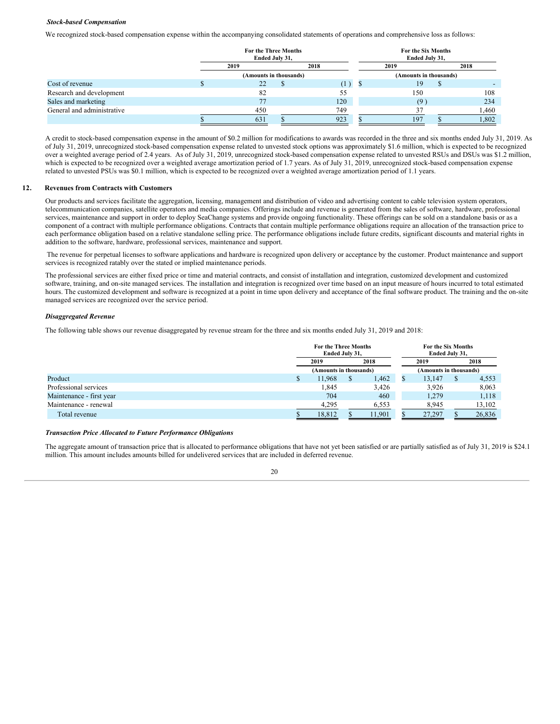#### *Stock-based Compensation*

We recognized stock-based compensation expense within the accompanying consolidated statements of operations and comprehensive loss as follows:

|                            | For the Three Months<br>Ended July 31, |                        | For the Six Months<br>Ended July 31, |      |     |      |       |  |
|----------------------------|----------------------------------------|------------------------|--------------------------------------|------|-----|------|-------|--|
|                            | 2019                                   | 2018                   |                                      | 2019 |     | 2018 |       |  |
|                            |                                        | (Amounts in thousands) | (Amounts in thousands)               |      |     |      |       |  |
| Cost of revenue            | 22                                     |                        | $(1)$ \$                             |      | 19  |      |       |  |
| Research and development   | 82                                     |                        |                                      |      | 150 |      | 108   |  |
| Sales and marketing        |                                        |                        | 120                                  |      | 09  |      | 234   |  |
| General and administrative | 450                                    |                        | 749                                  |      |     |      | 1,460 |  |
|                            | 631                                    |                        | 923                                  |      | 197 |      | 1,802 |  |

A credit to stock-based compensation expense in the amount of \$0.2 million for modifications to awards was recorded in the three and six months ended July 31, 2019. As of July 31, 2019, unrecognized stock-based compensation expense related to unvested stock options was approximately \$1.6 million, which is expected to be recognized over a weighted average period of 2.4 years. As of July 31, 2019, unrecognized stock-based compensation expense related to unvested RSUs and DSUs was \$1.2 million, which is expected to be recognized over a weighted average amortization period of 1.7 years. As of July 31, 2019, unrecognized stock-based compensation expense related to unvested PSUs was \$0.1 million, which is expected to be recognized over a weighted average amortization period of 1.1 years.

#### **12. Revenues from Contracts with Customers**

Our products and services facilitate the aggregation, licensing, management and distribution of video and advertising content to cable television system operators, telecommunication companies, satellite operators and media companies. Offerings include and revenue is generated from the sales of software, hardware, professional services, maintenance and support in order to deploy SeaChange systems and provide ongoing functionality. These offerings can be sold on a standalone basis or as a component of a contract with multiple performance obligations. Contracts that contain multiple performance obligations require an allocation of the transaction price to each performance obligation based on a relative standalone selling price. The performance obligations include future credits, significant discounts and material rights in addition to the software, hardware, professional services, maintenance and support.

The revenue for perpetual licenses to software applications and hardware is recognized upon delivery or acceptance by the customer. Product maintenance and support services is recognized ratably over the stated or implied maintenance periods.

The professional services are either fixed price or time and material contracts, and consist of installation and integration, customized development and customized software, training, and on-site managed services. The installation and integration is recognized over time based on an input measure of hours incurred to total estimated hours. The customized development and software is recognized at a point in time upon delivery and acceptance of the final software product. The training and the on-site managed services are recognized over the service period.

## *Disaggregated Revenue*

The following table shows our revenue disaggregated by revenue stream for the three and six months ended July 31, 2019 and 2018:

|                          | <b>For the Three Months</b> | Ended July 31, |        |      | For the Six Months<br>Ended July 31. |   |        |  |
|--------------------------|-----------------------------|----------------|--------|------|--------------------------------------|---|--------|--|
|                          | 2019                        | 2018           |        | 2019 | 2018                                 |   |        |  |
|                          | (Amounts in thousands)      |                |        |      | (Amounts in thousands)               |   |        |  |
| Product                  | 11,968                      |                | 1,462  |      | 13.147                               | S | 4,553  |  |
| Professional services    | 1,845                       |                | 3,426  |      | 3,926                                |   | 8,063  |  |
| Maintenance - first year | 704                         |                | 460    |      | 1.279                                |   | 1.118  |  |
| Maintenance - renewal    | 4,295                       |                | 6,553  |      | 8,945                                |   | 13,102 |  |
| Total revenue            | 18,812                      |                | 11,901 |      | 27,297                               |   | 26,836 |  |

#### *Transaction Price Allocated to Future Performance Obligations*

The aggregate amount of transaction price that is allocated to performance obligations that have not yet been satisfied or are partially satisfied as of July 31, 2019 is \$24.1 million. This amount includes amounts billed for undelivered services that are included in deferred revenue.

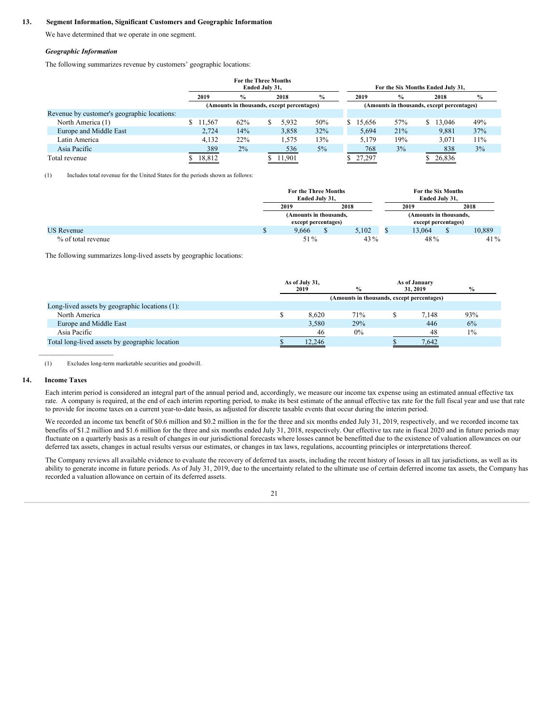## **13. Segment Information, Significant Customers and Geographic Information**

We have determined that we operate in one segment.

## *Geographic Information*

The following summarizes revenue by customers' geographic locations:

|                                             |        | For the Three Months                       |                |        |               |                                            |               |          |               |  |  |  |
|---------------------------------------------|--------|--------------------------------------------|----------------|--------|---------------|--------------------------------------------|---------------|----------|---------------|--|--|--|
|                                             |        |                                            | Ended July 31. |        |               | For the Six Months Ended July 31,          |               |          |               |  |  |  |
|                                             | 2019   | $\frac{0}{0}$                              |                | 2018   | $\frac{0}{0}$ | 2019                                       | $\frac{0}{0}$ | 2018     | $\frac{6}{9}$ |  |  |  |
|                                             |        | (Amounts in thousands, except percentages) |                |        |               | (Amounts in thousands, except percentages) |               |          |               |  |  |  |
| Revenue by customer's geographic locations: |        |                                            |                |        |               |                                            |               |          |               |  |  |  |
| North America (1)                           | 11.567 | 62%                                        |                | 5.932  | 50%           | \$15,656                                   | 57%           | 13,046   | 49%           |  |  |  |
| Europe and Middle East                      | 2.724  | 14%                                        |                | 3,858  | 32%           | 5.694                                      | 21%           | 9.881    | 37%           |  |  |  |
| Latin America                               | 4.132  | 22%                                        |                | 1,575  | 13%           | 5.179                                      | 19%           | 3.071    | 11%           |  |  |  |
| Asia Pacific                                | 389    | $2\%$                                      |                | 536    | $5\%$         | 768                                        | 3%            | 838      | 3%            |  |  |  |
| Total revenue                               | 18,812 |                                            |                | 11,901 |               | \$27,297                                   |               | \$26,836 |               |  |  |  |

(1) Includes total revenue for the United States for the periods shown as follows:

|                    | <b>For the Three Months</b> |      |                        | For the Six Months |                     |      |        |  |  |
|--------------------|-----------------------------|------|------------------------|--------------------|---------------------|------|--------|--|--|
|                    | Ended July 31.              |      |                        | Ended July 31.     |                     |      |        |  |  |
|                    | 2019                        | 2018 | 2019                   |                    |                     | 2018 |        |  |  |
|                    | (Amounts in thousands.      |      | (Amounts in thousands. |                    |                     |      |        |  |  |
|                    | except percentages)         |      |                        |                    | except percentages) |      |        |  |  |
| US Revenue         | 9.666                       |      | 5,102                  |                    | 13.064              |      | 10,889 |  |  |
| % of total revenue | 51%                         |      | 43%                    |                    | 48%                 |      | $41\%$ |  |  |

The following summarizes long-lived assets by geographic locations:

|                                                | As of July 31, |                                            | As of January |               |
|------------------------------------------------|----------------|--------------------------------------------|---------------|---------------|
|                                                | 2019           | $\frac{0}{0}$                              | 31, 2019      | $\frac{6}{6}$ |
|                                                |                | (Amounts in thousands, except percentages) |               |               |
| Long-lived assets by geographic locations (1): |                |                                            |               |               |
| North America                                  | 8.620          | 71%                                        | 7.148         | 93%           |
| Europe and Middle East                         | 3.580          | 29%                                        | 446           | 6%            |
| Asia Pacific                                   | 46             | $0\%$                                      | 48            | $1\%$         |
| Total long-lived assets by geographic location | 12.246         |                                            | 7.642         |               |
|                                                |                |                                            |               |               |

(1) Excludes long-term marketable securities and goodwill.

#### **14. Income Taxes**

 $\mathcal{L}_\text{max}$ 

Each interim period is considered an integral part of the annual period and, accordingly, we measure our income tax expense using an estimated annual effective tax rate. A company is required, at the end of each interim reporting period, to make its best estimate of the annual effective tax rate for the full fiscal year and use that rate to provide for income taxes on a current year-to-date basis, as adjusted for discrete taxable events that occur during the interim period.

We recorded an income tax benefit of \$0.6 million and \$0.2 million in the for the three and six months ended July 31, 2019, respectively, and we recorded income tax benefits of \$1.2 million and \$1.6 million for the three and six months ended July 31, 2018, respectively. Our effective tax rate in fiscal 2020 and in future periods may fluctuate on a quarterly basis as a result of changes in our jurisdictional forecasts where losses cannot be benefitted due to the existence of valuation allowances on our deferred tax assets, changes in actual results versus our estimates, or changes in tax laws, regulations, accounting principles or interpretations thereof.

The Company reviews all available evidence to evaluate the recovery of deferred tax assets, including the recent history of losses in all tax jurisdictions, as well as its ability to generate income in future periods. As of July 31, 2019, due to the uncertainty related to the ultimate use of certain deferred income tax assets, the Company has recorded a valuation allowance on certain of its deferred assets.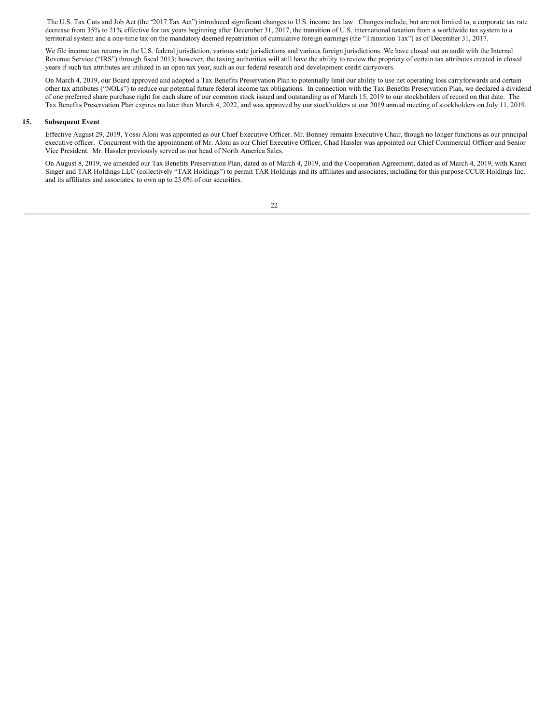The U.S. Tax Cuts and Job Act (the "2017 Tax Act") introduced significant changes to U.S. income tax law. Changes include, but are not limited to, a corporate tax rate decrease from 35% to 21% effective for tax years beginning after December 31, 2017, the transition of U.S. international taxation from a worldwide tax system to a territorial system and a one-time tax on the mandatory deemed repatriation of cumulative foreign earnings (the "Transition Tax") as of December 31, 2017.

We file income tax returns in the U.S. federal jurisdiction, various state jurisdictions and various foreign jurisdictions. We have closed out an audit with the Internal Revenue Service ("IRS") through fiscal 2013; however, the taxing authorities will still have the ability to review the propriety of certain tax attributes created in closed years if such tax attributes are utilized in an open tax year, such as our federal research and development credit carryovers.

On March 4, 2019, our Board approved and adopted a Tax Benefits Preservation Plan to potentially limit our ability to use net operating loss carryforwards and certain other tax attributes ("NOLs") to reduce our potential future federal income tax obligations. In connection with the Tax Benefits Preservation Plan, we declared a dividend of one preferred share purchase right for each share of our common stock issued and outstanding as of March 15, 2019 to our stockholders of record on that date. The Tax Benefits Preservation Plan expires no later than March 4, 2022, and was approved by our stockholders at our 2019 annual meeting of stockholders on July 11, 2019.

## **15. Subsequent Event**

Effective August 29, 2019, Yossi Aloni was appointed as our Chief Executive Officer. Mr. Bonney remains Executive Chair, though no longer functions as our principal executive officer. Concurrent with the appointment of Mr. Aloni as our Chief Executive Officer, Chad Hassler was appointed our Chief Commercial Officer and Senior Vice President. Mr. Hassler previously served as our head of North America Sales.

On August 8, 2019, we amended our Tax Benefits Preservation Plan, dated as of March 4, 2019, and the Cooperation Agreement, dated as of March 4, 2019, with Karen Singer and TAR Holdings LLC (collectively "TAR Holdings") to permit TAR Holdings and its affiliates and associates, including for this purpose CCUR Holdings Inc. and its affiliates and associates, to own up to 25.0% of our securities.

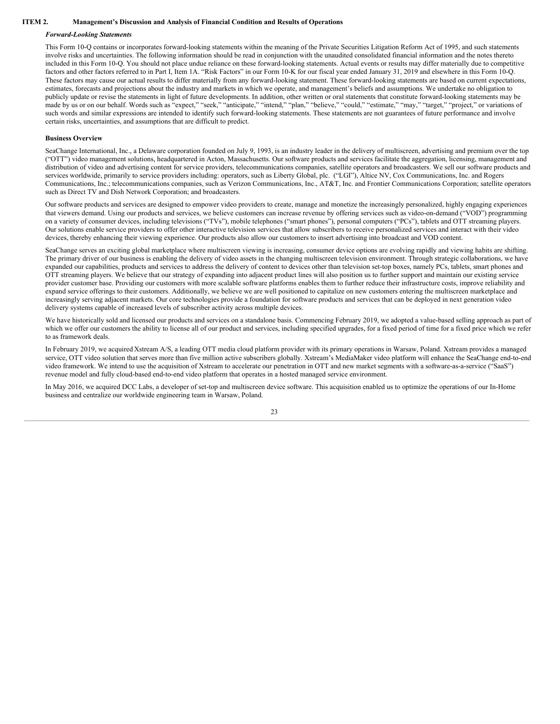#### **ITEM 2. Management's Discussion and Analysis of Financial Condition and Results of Operations**

#### <span id="page-23-0"></span>*Forward-Looking Statements*

This Form 10-Q contains or incorporates forward-looking statements within the meaning of the Private Securities Litigation Reform Act of 1995, and such statements involve risks and uncertainties. The following information should be read in conjunction with the unaudited consolidated financial information and the notes thereto included in this Form 10-Q. You should not place undue reliance on these forward-looking statements. Actual events or results may differ materially due to competitive factors and other factors referred to in Part I, Item 1A. "Risk Factors" in our Form 10-K for our fiscal year ended January 31, 2019 and elsewhere in this Form 10-Q. These factors may cause our actual results to differ materially from any forward-looking statement. These forward-looking statements are based on current expectations, estimates, forecasts and projections about the industry and markets in which we operate, and management's beliefs and assumptions. We undertake no obligation to publicly update or revise the statements in light of future developments. In addition, other written or oral statements that constitute forward-looking statements may be made by us or on our behalf. Words such as "expect," "seek," "anticipate," "intend," "plan," "believe," "could," "estimate," "may," "target," "project," or variations of such words and similar expressions are intended to identify such forward-looking statements. These statements are not guarantees of future performance and involve certain risks, uncertainties, and assumptions that are difficult to predict.

#### **Business Overview**

SeaChange International, Inc., a Delaware corporation founded on July 9, 1993, is an industry leader in the delivery of multiscreen, advertising and premium over the top ("OTT") video management solutions, headquartered in Acton, Massachusetts. Our software products and services facilitate the aggregation, licensing, management and distribution of video and advertising content for service providers, telecommunications companies, satellite operators and broadcasters. We sell our software products and services worldwide, primarily to service providers including: operators, such as Liberty Global, plc. ("LGI"), Altice NV, Cox Communications, Inc. and Rogers Communications, Inc.; telecommunications companies, such as Verizon Communications, Inc., AT&T, Inc. and Frontier Communications Corporation; satellite operators such as Direct TV and Dish Network Corporation; and broadcasters.

Our software products and services are designed to empower video providers to create, manage and monetize the increasingly personalized, highly engaging experiences that viewers demand. Using our products and services, we believe customers can increase revenue by offering services such as video-on-demand ("VOD") programming on a variety of consumer devices, including televisions ("TVs"), mobile telephones ("smart phones"), personal computers ("PCs"), tablets and OTT streaming players. Our solutions enable service providers to offer other interactive television services that allow subscribers to receive personalized services and interact with their video devices, thereby enhancing their viewing experience. Our products also allow our customers to insert advertising into broadcast and VOD content.

SeaChange serves an exciting global marketplace where multiscreen viewing is increasing, consumer device options are evolving rapidly and viewing habits are shifting. The primary driver of our business is enabling the delivery of video assets in the changing multiscreen television environment. Through strategic collaborations, we have expanded our capabilities, products and services to address the delivery of content to devices other than television set-top boxes, namely PCs, tablets, smart phones and OTT streaming players. We believe that our strategy of expanding into adjacent product lines will also position us to further support and maintain our existing service provider customer base. Providing our customers with more scalable software platforms enables them to further reduce their infrastructure costs, improve reliability and expand service offerings to their customers. Additionally, we believe we are well positioned to capitalize on new customers entering the multiscreen marketplace and increasingly serving adjacent markets. Our core technologies provide a foundation for software products and services that can be deployed in next generation video delivery systems capable of increased levels of subscriber activity across multiple devices.

We have historically sold and licensed our products and services on a standalone basis. Commencing February 2019, we adopted a value-based selling approach as part of which we offer our customers the ability to license all of our product and services, including specified upgrades, for a fixed period of time for a fixed price which we refer to as framework deals.

In February 2019, we acquired Xstream A/S, a leading OTT media cloud platform provider with its primary operations in Warsaw, Poland. Xstream provides a managed service, OTT video solution that serves more than five million active subscribers globally. Xstream's MediaMaker video platform will enhance the SeaChange end-to-end video framework. We intend to use the acquisition of Xstream to accelerate our penetration in OTT and new market segments with a software-as-a-service ("SaaS") revenue model and fully cloud-based end-to-end video platform that operates in a hosted managed service environment.

In May 2016, we acquired DCC Labs, a developer of set-top and multiscreen device software. This acquisition enabled us to optimize the operations of our In-Home business and centralize our worldwide engineering team in Warsaw, Poland.

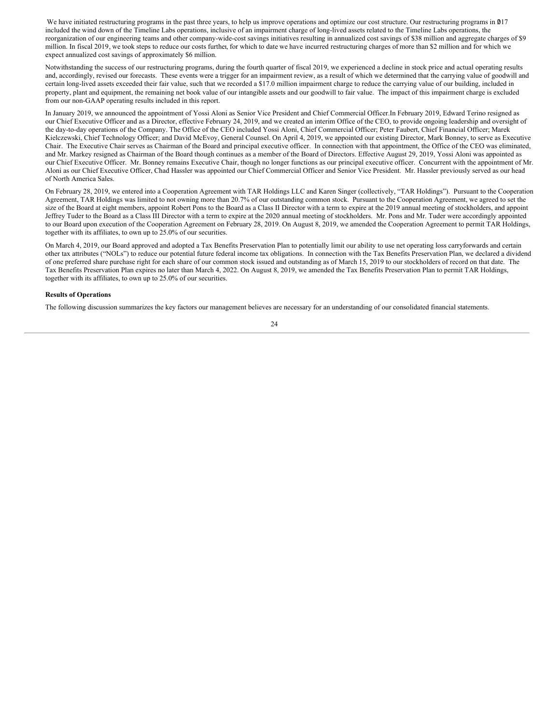We have initiated restructuring programs in the past three years, to help us improve operations and optimize our cost structure. Our restructuring programs in 017 included the wind down of the Timeline Labs operations, inclusive of an impairment charge of long-lived assets related to the Timeline Labs operations, the reorganization of our engineering teams and other company-wide-cost savings initiatives resulting in annualized cost savings of \$38 million and aggregate charges of \$9 million. In fiscal 2019, we took steps to reduce our costs further, for which to date we have incurred restructuring charges of more than \$2 million and for which we expect annualized cost savings of approximately \$6 million.

Notwithstanding the success of our restructuring programs, during the fourth quarter of fiscal 2019, we experienced a decline in stock price and actual operating results and, accordingly, revised our forecasts. These events were a trigger for an impairment review, as a result of which we determined that the carrying value of goodwill and certain long-lived assets exceeded their fair value, such that we recorded a \$17.0 million impairment charge to reduce the carrying value of our building, included in property, plant and equipment, the remaining net book value of our intangible assets and our goodwill to fair value. The impact of this impairment charge is excluded from our non-GAAP operating results included in this report.

In January 2019, we announced the appointment of Yossi Aloni as Senior Vice President and Chief Commercial Officer.In February 2019, Edward Terino resigned as our Chief Executive Officer and as a Director, effective February 24, 2019, and we created an interim Office of the CEO, to provide ongoing leadership and oversight of the day-to-day operations of the Company. The Office of the CEO included Yossi Aloni, Chief Commercial Officer; Peter Faubert, Chief Financial Officer; Marek Kielczewski, Chief Technology Officer; and David McEvoy, General Counsel. On April 4, 2019, we appointed our existing Director, Mark Bonney, to serve as Executive Chair. The Executive Chair serves as Chairman of the Board and principal executive officer. In connection with that appointment, the Office of the CEO was eliminated, and Mr. Markey resigned as Chairman of the Board though continues as a member of the Board of Directors. Effective August 29, 2019, Yossi Aloni was appointed as our Chief Executive Officer. Mr. Bonney remains Executive Chair, though no longer functions as our principal executive officer. Concurrent with the appointment of Mr. Aloni as our Chief Executive Officer, Chad Hassler was appointed our Chief Commercial Officer and Senior Vice President. Mr. Hassler previously served as our head of North America Sales.

On February 28, 2019, we entered into a Cooperation Agreement with TAR Holdings LLC and Karen Singer (collectively, "TAR Holdings"). Pursuant to the Cooperation Agreement, TAR Holdings was limited to not owning more than 20.7% of our outstanding common stock. Pursuant to the Cooperation Agreement, we agreed to set the size of the Board at eight members, appoint Robert Pons to the Board as a Class II Director with a term to expire at the 2019 annual meeting of stockholders, and appoint Jeffrey Tuder to the Board as a Class III Director with a term to expire at the 2020 annual meeting of stockholders. Mr. Pons and Mr. Tuder were accordingly appointed to our Board upon execution of the Cooperation Agreement on February 28, 2019. On August 8, 2019, we amended the Cooperation Agreement to permit TAR Holdings, together with its affiliates, to own up to 25.0% of our securities.

On March 4, 2019, our Board approved and adopted a Tax Benefits Preservation Plan to potentially limit our ability to use net operating loss carryforwards and certain other tax attributes ("NOLs") to reduce our potential future federal income tax obligations. In connection with the Tax Benefits Preservation Plan, we declared a dividend of one preferred share purchase right for each share of our common stock issued and outstanding as of March 15, 2019 to our stockholders of record on that date. The Tax Benefits Preservation Plan expires no later than March 4, 2022. On August 8, 2019, we amended the Tax Benefits Preservation Plan to permit TAR Holdings, together with its affiliates, to own up to 25.0% of our securities.

#### **Results of Operations**

The following discussion summarizes the key factors our management believes are necessary for an understanding of our consolidated financial statements.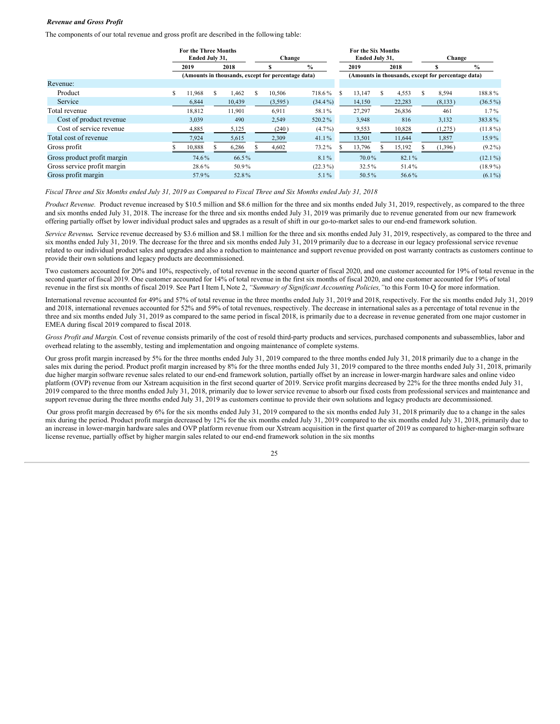#### *Revenue and Gross Profit*

The components of our total revenue and gross profit are described in the following table:

|                             | <b>For the Three Months</b><br>Ended July 31, |        |    |        |    | Change                                             |               | For the Six Months<br>Ended July 31, |   |        |   | Change                                             |               |
|-----------------------------|-----------------------------------------------|--------|----|--------|----|----------------------------------------------------|---------------|--------------------------------------|---|--------|---|----------------------------------------------------|---------------|
|                             |                                               | 2019   |    | 2018   |    |                                                    | $\frac{0}{0}$ | 2019                                 |   | 2018   |   |                                                    | $\frac{0}{0}$ |
|                             |                                               |        |    |        |    | (Amounts in thousands, except for percentage data) |               |                                      |   |        |   | (Amounts in thousands, except for percentage data) |               |
| Revenue:                    |                                               |        |    |        |    |                                                    |               |                                      |   |        |   |                                                    |               |
| Product                     | S.                                            | 11.968 | S. | 1,462  | S. | 10,506                                             | 718.6%        | 13,147                               | S | 4,553  | S | 8,594                                              | 188.8%        |
| Service                     |                                               | 6,844  |    | 10,439 |    | (3,595)                                            | $(34.4\%)$    | 14,150                               |   | 22,283 |   | (8, 133)                                           | $(36.5\%)$    |
| Total revenue               |                                               | 18,812 |    | 11,901 |    | 6,911                                              | 58.1%         | 27,297                               |   | 26,836 |   | 461                                                | $1.7\%$       |
| Cost of product revenue     |                                               | 3,039  |    | 490    |    | 2,549                                              | 520.2%        | 3,948                                |   | 816    |   | 3,132                                              | 383.8%        |
| Cost of service revenue     |                                               | 4,885  |    | 5,125  |    | (240)                                              | $(4.7\%)$     | 9,553                                |   | 10,828 |   | (1,275)                                            | $(11.8\%)$    |
| Total cost of revenue       |                                               | 7,924  |    | 5,615  |    | 2,309                                              | 41.1%         | 13,501                               |   | 11,644 |   | 1,857                                              | 15.9%         |
| Gross profit                |                                               | 10,888 |    | 6,286  |    | 4,602                                              | 73.2%         | 13,796                               |   | 15,192 |   | (1,396)                                            | $(9.2\%)$     |
| Gross product profit margin |                                               | 74.6%  |    | 66.5%  |    |                                                    | 8.1%          | 70.0%                                |   | 82.1%  |   |                                                    | $(12.1\%)$    |
| Gross service profit margin |                                               | 28.6%  |    | 50.9%  |    |                                                    | $(22.3\%)$    | $32.5\%$                             |   | 51.4%  |   |                                                    | $(18.9\%)$    |
| Gross profit margin         |                                               | 57.9%  |    | 52.8%  |    |                                                    | $5.1\%$       | 50.5%                                |   | 56.6%  |   |                                                    | $(6.1\%)$     |

#### Fiscal Three and Six Months ended July 31, 2019 as Compared to Fiscal Three and Six Months ended July 31, 2018

*Product Revenue.* Product revenue increased by \$10.5 million and \$8.6 million for the three and six months ended July 31, 2019, respectively, as compared to the three and six months ended July 31, 2018. The increase for the three and six months ended July 31, 2019 was primarily due to revenue generated from our new framework offering partially offset by lower individual product sales and upgrades as a result of shift in our go-to-market sales to our end-end framework solution.

*Service Revenue.* Service revenue decreased by \$3.6 million and \$8.1 million for the three and six months ended July 31, 2019, respectively, as compared to the three and six months ended July 31, 2019. The decrease for the three and six months ended July 31, 2019 primarily due to a decrease in our legacy professional service revenue related to our individual product sales and upgrades and also a reduction to maintenance and support revenue provided on post warranty contracts as customers continue to provide their own solutions and legacy products are decommissioned.

Two customers accounted for 20% and 10%, respectively, of total revenue in the second quarter of fiscal 2020, and one customer accounted for 19% of total revenue in the second quarter of fiscal 2019. One customer accounted for 14% of total revenue in the first six months of fiscal 2020, and one customer accounted for 19% of total revenue in the first six months of fiscal 2019. See Part I Item I, Note 2, *"Summary of Significant Accounting Policies,"*to this Form 10-Q for more information.

International revenue accounted for 49% and 57% of total revenue in the three months ended July 31, 2019 and 2018, respectively. For the six months ended July 31, 2019 and 2018, international revenues accounted for 52% and 59% of total revenues, respectively. The decrease in international sales as a percentage of total revenue in the three and six months ended July 31, 2019 as compared to the same period in fiscal 2018, is primarily due to a decrease in revenue generated from one major customer in EMEA during fiscal 2019 compared to fiscal 2018.

*Gross Profit and Margin.* Cost of revenue consists primarily of the cost of resold third-party products and services, purchased components and subassemblies, labor and overhead relating to the assembly, testing and implementation and ongoing maintenance of complete systems.

Our gross profit margin increased by 5% for the three months ended July 31, 2019 compared to the three months ended July 31, 2018 primarily due to a change in the sales mix during the period. Product profit margin increased by 8% for the three months ended July 31, 2019 compared to the three months ended July 31, 2018, primarily due higher margin software revenue sales related to our end-end framework solution, partially offset by an increase in lower-margin hardware sales and online video platform (OVP) revenue from our Xstream acquisition in the first second quarter of 2019. Service profit margins decreased by 22% for the three months ended July 31, 2019 compared to the three months ended July 31, 2018, primarily due to lower service revenue to absorb our fixed costs from professional services and maintenance and support revenue during the three months ended July 31, 2019 as customers continue to provide their own solutions and legacy products are decommissioned.

Our gross profit margin decreased by 6% for the six months ended July 31, 2019 compared to the six months ended July 31, 2018 primarily due to a change in the sales mix during the period. Product profit margin decreased by 12% for the six months ended July 31, 2019 compared to the six months ended July 31, 2018, primarily due to an increase in lower-margin hardware sales and OVP platform revenue from our Xstream acquisition in the first quarter of 2019 as compared to higher-margin software license revenue, partially offset by higher margin sales related to our end-end framework solution in the six months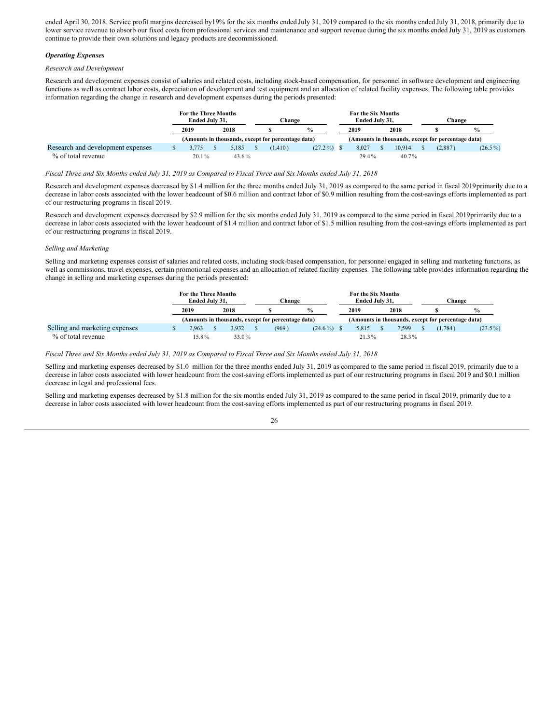ended April 30, 2018. Service profit margins decreased by19% for the six months ended July 31, 2019 compared to the six months ended July 31, 2018, primarily due to lower service revenue to absorb our fixed costs from professional services and maintenance and support revenue during the six months ended July 31, 2019 as customers continue to provide their own solutions and legacy products are decommissioned.

#### *Operating Expenses*

#### *Research and Development*

Research and development expenses consist of salaries and related costs, including stock-based compensation, for personnel in software development and engineering functions as well as contract labor costs, depreciation of development and test equipment and an allocation of related facility expenses. The following table provides information regarding the change in research and development expenses during the periods presented:

|                                   | For the Three Months<br>Ended July 31.             |  |       |  | Change  |               |  | For the Six Months<br>Ended July 31. |        | <b>Change</b>                                      |               |  |
|-----------------------------------|----------------------------------------------------|--|-------|--|---------|---------------|--|--------------------------------------|--------|----------------------------------------------------|---------------|--|
|                                   | 2019                                               |  | 2018  |  |         | $\frac{0}{0}$ |  | 2019                                 | 2018   |                                                    | $\frac{0}{0}$ |  |
|                                   | (Amounts in thousands, except for percentage data) |  |       |  |         |               |  |                                      |        | (Amounts in thousands, except for percentage data) |               |  |
| Research and development expenses | 3.775                                              |  | 5.185 |  | (1.410) | $(27.2\%)$    |  | 8.027                                | 10.914 | (2.887)                                            | $(26.5\%)$    |  |
| % of total revenue                | $20.1\%$                                           |  | 43.6% |  |         |               |  | 29.4%                                | 40.7%  |                                                    |               |  |

Fiscal Three and Six Months ended July 31, 2019 as Compared to Fiscal Three and Six Months ended July 31, 2018

Research and development expenses decreased by \$1.4 million for the three months ended July 31, 2019 as compared to the same period in fiscal 2019 primarily due to a decrease in labor costs associated with the lower headcount of \$0.6 million and contract labor of \$0.9 million resulting from the cost-savings efforts implemented as part of our restructuring programs in fiscal 2019.

Research and development expenses decreased by \$2.9 million for the six months ended July 31, 2019 as compared to the same period in fiscal 2019 primarily due to a decrease in labor costs associated with the lower headcount of \$1.4 million and contract labor of \$1.5 million resulting from the cost-savings efforts implemented as part of our restructuring programs in fiscal 2019.

#### *Selling and Marketing*

Selling and marketing expenses consist of salaries and related costs, including stock-based compensation, for personnel engaged in selling and marketing functions, as well as commissions, travel expenses, certain promotional expenses and an allocation of related facility expenses. The following table provides information regarding the change in selling and marketing expenses during the periods presented:

|                                | For the Three Months<br>Ended July 31. |  |       |  | Change                                             |               | For the Six Months<br>Ended July 31, |       | Change |                                                    |               |
|--------------------------------|----------------------------------------|--|-------|--|----------------------------------------------------|---------------|--------------------------------------|-------|--------|----------------------------------------------------|---------------|
|                                | 2019                                   |  | 2018  |  |                                                    | $\frac{0}{0}$ | 2019                                 | 2018  |        |                                                    | $\frac{0}{0}$ |
|                                |                                        |  |       |  | (Amounts in thousands, except for percentage data) |               |                                      |       |        | (Amounts in thousands, except for percentage data) |               |
| Selling and marketing expenses | 2.963                                  |  | 3.932 |  | (969)                                              | $(24.6\%)$    | 5.815                                | 7.599 |        | (1.784)                                            | $(23.5\%)$    |
| % of total revenue             | 15.8%                                  |  | 33.0% |  |                                                    |               | 21.3%                                | 28.3% |        |                                                    |               |

Fiscal Three and Six Months ended July 31, 2019 as Compared to Fiscal Three and Six Months ended July 31, 2018

Selling and marketing expenses decreased by \$1.0 million for the three months ended July 31, 2019 as compared to the same period in fiscal 2019, primarily due to a decrease in labor costs associated with lower headcount from the cost-saving efforts implemented as part of our restructuring programs in fiscal 2019 and \$0.1 million decrease in legal and professional fees.

Selling and marketing expenses decreased by \$1.8 million for the six months ended July 31, 2019 as compared to the same period in fiscal 2019, primarily due to a decrease in labor costs associated with lower headcount from the cost-saving efforts implemented as part of our restructuring programs in fiscal 2019.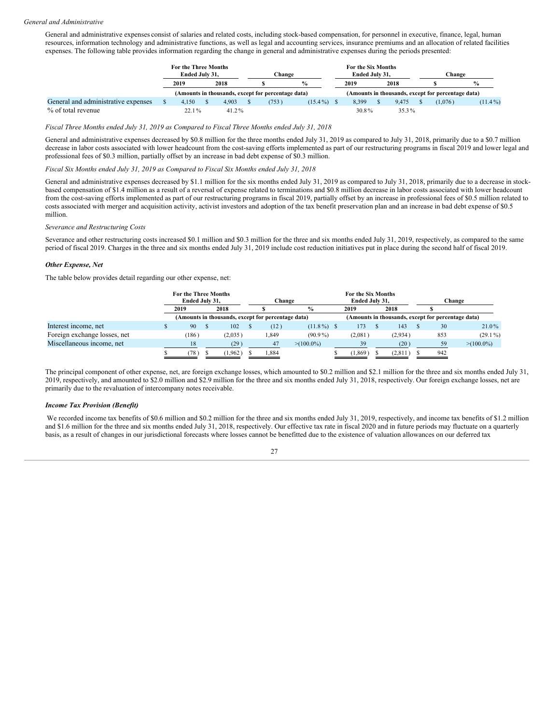#### *General and Administrative*

General and administrative expenses consist of salaries and related costs, including stock-based compensation, for personnel in executive, finance, legal, human resources, information technology and administrative functions, as well as legal and accounting services, insurance premiums and an allocation of related facilities expenses. The following table provides information regarding the change in general and administrative expenses during the periods presented:

|                                     |                                                    | For the Three Months<br>Ended July 31. |  |       | Change |       |               |                                                    | For the Six Months<br>Ended July 31, |  |       |  | Change  |               |  |  |
|-------------------------------------|----------------------------------------------------|----------------------------------------|--|-------|--------|-------|---------------|----------------------------------------------------|--------------------------------------|--|-------|--|---------|---------------|--|--|
|                                     |                                                    | 2019                                   |  | 2018  |        |       | $\frac{0}{0}$ |                                                    | 2019                                 |  | 2018  |  |         | $\frac{0}{0}$ |  |  |
|                                     | (Amounts in thousands, except for percentage data) |                                        |  |       |        |       |               | (Amounts in thousands, except for percentage data) |                                      |  |       |  |         |               |  |  |
| General and administrative expenses |                                                    | 4.150                                  |  | 4.903 |        | (753) | $(15.4\%)$ \$ |                                                    | 8.399                                |  | 9.475 |  | (1.076) | $(11.4\%)$    |  |  |
| % of total revenue                  |                                                    | 22.1%                                  |  | 41.2% |        |       |               |                                                    | 30.8%                                |  | 35.3% |  |         |               |  |  |

*Fiscal Three Months ended July 31, 2019 as Compared to Fiscal Three Months ended July 31, 2018*

General and administrative expenses decreased by \$0.8 million for the three months ended July 31, 2019 as compared to July 31, 2018, primarily due to a \$0.7 million decrease in labor costs associated with lower headcount from the cost-saving efforts implemented as part of our restructuring programs in fiscal 2019 and lower legal and professional fees of \$0.3 million, partially offset by an increase in bad debt expense of \$0.3 million.

#### *Fiscal Six Months ended July 31, 2019 as Compared to Fiscal Six Months ended July 31, 2018*

General and administrative expenses decreased by \$1.1 million for the six months ended July 31, 2019 as compared to July 31, 2018, primarily due to a decrease in stockbased compensation of \$1.4 million as a result of a reversal of expense related to terminations and \$0.8 million decrease in labor costs associated with lower headcount from the cost-saving efforts implemented as part of our restructuring programs in fiscal 2019, partially offset by an increase in professional fees of \$0.5 million related to costs associated with merger and acquisition activity, activist investors and adoption of the tax benefit preservation plan and an increase in bad debt expense of \$0.5 million.

#### *Severance and Restructuring Costs*

Severance and other restructuring costs increased \$0.1 million and \$0.3 million for the three and six months ended July 31, 2019, respectively, as compared to the same period of fiscal 2019. Charges in the three and six months ended July 31, 2019 include cost reduction initiatives put in place during the second half of fiscal 2019.

#### *Other Expense, Net*

The table below provides detail regarding our other expense, net:

|                              |                                                                                                          | For the Three Months<br>Ended July 31, |  |         |  | Change | For the Six Months<br>Ended July 31. |  |         |  | Change  |  |     |              |
|------------------------------|----------------------------------------------------------------------------------------------------------|----------------------------------------|--|---------|--|--------|--------------------------------------|--|---------|--|---------|--|-----|--------------|
|                              |                                                                                                          | 2019                                   |  | 2018    |  |        | $\frac{0}{0}$                        |  | 2019    |  | 2018    |  |     |              |
|                              | (Amounts in thousands, except for percentage data)<br>(Amounts in thousands, except for percentage data) |                                        |  |         |  |        |                                      |  |         |  |         |  |     |              |
| Interest income, net         |                                                                                                          | 90                                     |  | 102     |  | (12)   | $(11.8\%)$ \$                        |  | 173     |  | 143     |  | 30  | 21.0%        |
| Foreign exchange losses, net |                                                                                                          | (186)                                  |  | (2,035) |  | .849   | $(90.9\%)$                           |  | (2,081) |  | (2,934) |  | 853 | $(29.1\%)$   |
| Miscellaneous income, net    |                                                                                                          | 18                                     |  | (29)    |  | 47     | $>(100.0\%)$                         |  | 39      |  | (20)    |  | 59  | $>(100.0\%)$ |
|                              |                                                                                                          | (78)                                   |  | 1,962   |  | .884   |                                      |  | (1,869) |  | (2,811) |  | 942 |              |

The principal component of other expense, net, are foreign exchange losses, which amounted to \$0.2 million and \$2.1 million for the three and six months ended July 31, 2019, respectively, and amounted to \$2.0 million and \$2.9 million for the three and six months ended July 31, 2018, respectively. Our foreign exchange losses, net are primarily due to the revaluation of intercompany notes receivable.

## *Income Tax Provision (Benefit)*

We recorded income tax benefits of \$0.6 million and \$0.2 million for the three and six months ended July 31, 2019, respectively, and income tax benefits of \$1.2 million and \$1.6 million for the three and six months ended July 31, 2018, respectively. Our effective tax rate in fiscal 2020 and in future periods may fluctuate on a quarterly basis, as a result of changes in our jurisdictional forecasts where losses cannot be benefitted due to the existence of valuation allowances on our deferred tax

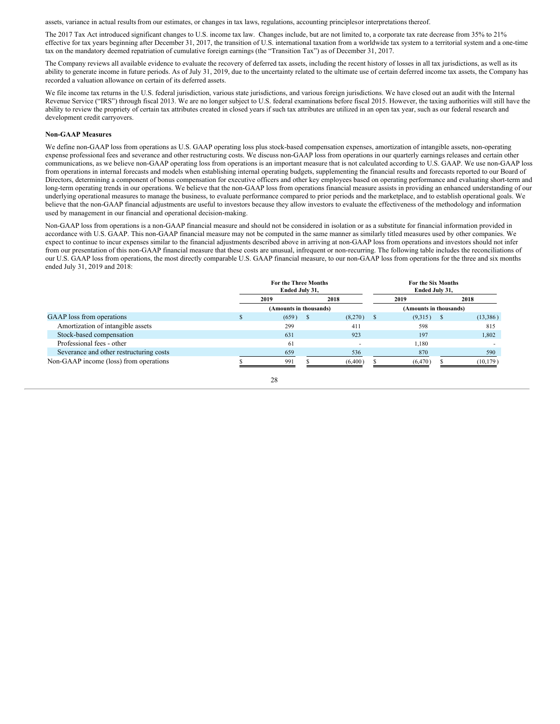assets, variance in actual resultsfrom our estimates, or changes in tax laws, regulations, accounting principlesor interpretations thereof.

The 2017 Tax Act introduced significant changes to U.S. income tax law. Changes include, but are not limited to, a corporate tax rate decrease from 35% to 21% effective for tax years beginning after December 31, 2017, the transition of U.S. international taxation from a worldwide tax system to a territorial system and a one-time tax on the mandatory deemed repatriation of cumulative foreign earnings (the "Transition Tax") as of December 31, 2017.

The Company reviews all available evidence to evaluate the recovery of deferred tax assets, including the recent history of losses in all tax jurisdictions, as well as its ability to generate income in future periods. As of July 31, 2019, due to the uncertainty related to the ultimate use of certain deferred income tax assets, the Company has recorded a valuation allowance on certain of its deferred assets.

We file income tax returns in the U.S. federal jurisdiction, various state jurisdictions, and various foreign jurisdictions. We have closed out an audit with the Internal Revenue Service ("IRS") through fiscal 2013. We are no longer subject to U.S. federal examinations before fiscal 2015. However, the taxing authorities will still have the ability to review the propriety of certain tax attributes created in closed years if such tax attributes are utilized in an open tax year, such as our federal research and development credit carryovers.

## **Non-GAAP Measures**

We define non-GAAP loss from operations as U.S. GAAP operating loss plus stock-based compensation expenses, amortization of intangible assets, non-operating expense professional fees and severance and other restructuring costs. We discuss non-GAAP loss from operations in our quarterly earnings releases and certain other communications, as we believe non-GAAP operating loss from operations is an important measure that is not calculated according to U.S. GAAP. We use non-GAAP loss from operations in internal forecasts and models when establishing internal operating budgets, supplementing the financial results and forecasts reported to our Board of Directors, determining a component of bonus compensation for executive officers and other key employees based on operating performance and evaluating short-term and long-term operating trends in our operations. We believe that the non-GAAP loss from operations financial measure assists in providing an enhanced understanding of our underlying operational measures to manage the business, to evaluate performance compared to prior periods and the marketplace, and to establish operational goals. We believe that the non-GAAP financial adjustments are useful to investors because they allow investors to evaluate the effectiveness of the methodology and information used by management in our financial and operational decision-making.

Non-GAAP loss from operations is a non-GAAP financial measure and should not be considered in isolation or as a substitute for financial information provided in accordance with U.S. GAAP. This non-GAAP financial measure may not be computed in the same manner as similarly titled measures used by other companies. We expect to continue to incur expenses similar to the financial adjustments described above in arriving at non-GAAP loss from operations and investors should not infer from our presentation of this non-GAAP financial measure that these costs are unusual, infrequent or non-recurring. The following table includes the reconciliations of our U.S. GAAP loss from operations, the most directly comparable U.S. GAAP financial measure, to our non-GAAP loss from operations for the three and six months ended July 31, 2019 and 2018:

|                                         | <b>For the Three Months</b><br>Ended July 31, |       |     |         |     | For the Six Months<br>Ended July 31, |     |           |  |  |
|-----------------------------------------|-----------------------------------------------|-------|-----|---------|-----|--------------------------------------|-----|-----------|--|--|
|                                         |                                               | 2019  |     | 2018    |     | 2019                                 |     | 2018      |  |  |
|                                         | (Amounts in thousands)                        |       |     |         |     | (Amounts in thousands)               |     |           |  |  |
| GAAP loss from operations               |                                               | (659) | - 5 | (8,270) | - S | (9,315)                              | - S | (13,386)  |  |  |
| Amortization of intangible assets       |                                               | 299   |     | 411     |     | 598                                  |     | 815       |  |  |
| Stock-based compensation                |                                               | 631   |     | 923     |     | 197                                  |     | 1,802     |  |  |
| Professional fees - other               |                                               | 61    |     |         |     | 1,180                                |     |           |  |  |
| Severance and other restructuring costs |                                               | 659   |     | 536     |     | 870                                  |     | 590       |  |  |
| Non-GAAP income (loss) from operations  |                                               | 991   |     | (6,400) |     | (6, 470)                             |     | (10, 179) |  |  |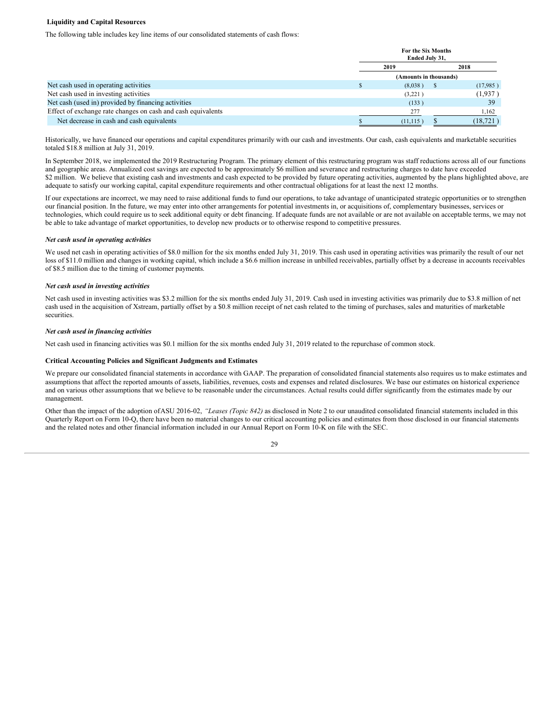## **Liquidity and Capital Resources**

The following table includes key line items of our consolidated statements of cash flows:

|                                                              | <b>For the Six Months</b><br>Ended July 31, |          |  |  |  |  |  |
|--------------------------------------------------------------|---------------------------------------------|----------|--|--|--|--|--|
|                                                              | 2018<br>2019                                |          |  |  |  |  |  |
|                                                              | (Amounts in thousands)                      |          |  |  |  |  |  |
| Net cash used in operating activities                        | (8,038)                                     | (17,985) |  |  |  |  |  |
| Net cash used in investing activities                        | (3,221)                                     | (1,937)  |  |  |  |  |  |
| Net cash (used in) provided by financing activities          | (133)                                       |          |  |  |  |  |  |
| Effect of exchange rate changes on cash and cash equivalents | 277                                         | 1,162    |  |  |  |  |  |
| Net decrease in cash and cash equivalents                    | (11, 115)                                   | (18,721) |  |  |  |  |  |

Historically, we have financed our operations and capital expenditures primarily with our cash and investments. Our cash, cash equivalents and marketable securities totaled \$18.8 million at July 31, 2019.

In September 2018, we implemented the 2019 Restructuring Program. The primary element of this restructuring program was staff reductions across all of our functions and geographic areas. Annualized cost savings are expected to be approximately \$6 million and severance and restructuring charges to date have exceeded \$2 million. We believe that existing cash and investments and cash expected to be provided by future operating activities, augmented by the plans highlighted above, are adequate to satisfy our working capital, capital expenditure requirements and other contractual obligations for at least the next 12 months.

If our expectations are incorrect, we may need to raise additional funds to fund our operations, to take advantage of unanticipated strategic opportunities or to strengthen our financial position. In the future, we may enter into other arrangements for potential investments in, or acquisitions of, complementary businesses, services or technologies, which could require us to seek additional equity or debt financing. If adequate funds are not available or are not available on acceptable terms, we may not be able to take advantage of market opportunities, to develop new products or to otherwise respond to competitive pressures.

## *Net cash used in operating activities*

We used net cash in operating activities of \$8.0 million for the six months ended July 31, 2019. This cash used in operating activities was primarily the result of our net loss of \$11.0 million and changes in working capital, which include a \$6.6 million increase in unbilled receivables, partially offset by a decrease in accounts receivables of \$8.5 million due to the timing of customer payments.

## *Net cash used in investing activities*

Net cash used in investing activities was \$3.2 million for the six months ended July 31, 2019. Cash used in investing activities was primarily due to \$3.8 million of net cash used in the acquisition of Xstream, partially offset by a \$0.8 million receipt of net cash related to the timing of purchases, sales and maturities of marketable securities.

#### *Net cash used in financing activities*

Net cash used in financing activities was \$0.1 million for the six months ended July 31, 2019 related to the repurchase of common stock.

#### **Critical Accounting Policies and Significant Judgments and Estimates**

We prepare our consolidated financial statements in accordance with GAAP. The preparation of consolidated financial statements also requires us to make estimates and assumptions that affect the reported amounts of assets, liabilities, revenues, costs and expenses and related disclosures. We base our estimates on historical experience and on various other assumptions that we believe to be reasonable under the circumstances. Actual results could differ significantly from the estimates made by our management.

Other than the impact of the adoption ofASU 2016-02, *"Leases (Topic 842)* as disclosed in Note 2 to our unaudited consolidated financial statements included in this Quarterly Report on Form 10-Q, there have been no material changes to our critical accounting policies and estimates from those disclosed in our financial statements and the related notes and other financial information included in our Annual Report on Form 10-K on file with the SEC.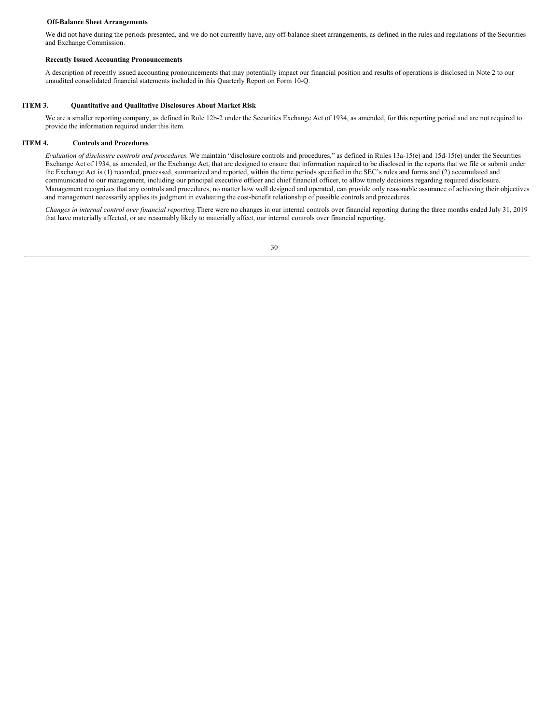#### **Off-Balance Sheet Arrangements**

We did not have during the periods presented, and we do not currently have, any off-balance sheet arrangements, as defined in the rules and regulations of the Securities and Exchange Commission.

### **Recently Issued Accounting Pronouncements**

A description of recently issued accounting pronouncements that may potentially impact our financial position and results of operations is disclosed in Note 2 to our unaudited consolidated financial statements included in this Quarterly Report on Form 10-Q.

## **ITEM 3. Quantitative and Qualitative Disclosures About Market Risk**

<span id="page-30-0"></span>We are a smaller reporting company, as defined in Rule 12b-2 under the Securities Exchange Act of 1934, as amended, for this reporting period and are not required to provide the information required under this item.

## **ITEM 4. Controls and Procedures**

<span id="page-30-1"></span>*Evaluation of disclosure controls and procedures.* We maintain "disclosure controls and procedures," as defined in Rules 13a‑15(e) and 15d‑15(e) under the Securities Exchange Act of 1934, as amended, or the Exchange Act, that are designed to ensure that information required to be disclosed in the reports that we file or submit under the Exchange Act is (1) recorded, processed, summarized and reported, within the time periods specified in the SEC's rules and forms and (2) accumulated and communicated to our management, including our principal executive officer and chief financial officer, to allow timely decisions regarding required disclosure. Management recognizes that any controls and procedures, no matter how well designed and operated, can provide only reasonable assurance of achieving their objectives and management necessarily applies its judgment in evaluating the cost-benefit relationship of possible controls and procedures.

*Changes in internal control over financial reporting.*There were no changes in our internal controls over financial reporting during the three months ended July 31, 2019 that have materially affected, or are reasonably likely to materially affect, our internal controls over financial reporting.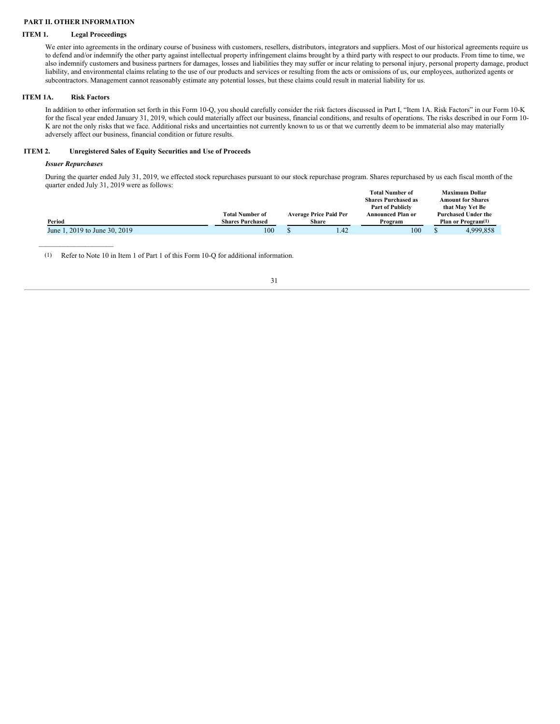## **PART II. OTHER INFORMATION**

# **ITEM 1. Legal Proceedings**

<span id="page-31-1"></span>We enter into agreements in the ordinary course of business with customers, resellers, distributors, integrators and suppliers. Most of our historical agreements require us to defend and/or indemnify the other party against intellectual property infringement claims brought by a third party with respect to our products. From time to time, we also indemnify customers and business partners for damages, losses and liabilities they may suffer or incur relating to personal injury, personal property damage, product liability, and environmental claims relating to the use of our products and services or resulting from the acts or omissions of us, our employees, authorized agents or subcontractors. Management cannot reasonably estimate any potential losses, but these claims could result in material liability for us.

## **ITEM 1A. Risk Factors**

<span id="page-31-2"></span>In addition to other information set forth in this Form 10-Q, you should carefully consider the risk factors discussed in Part I, "Item 1A. Risk Factors" in our Form 10-K for the fiscal year ended January 31, 2019, which could materially affect our business, financial conditions, and results of operations. The risks described in our Form 10- K are not the only risks that we face. Additional risks and uncertainties not currently known to us or that we currently deem to be immaterial also may materially adversely affect our business, financial condition or future results.

## <span id="page-31-0"></span>**ITEM 2. Unregistered Sales of Equity Securities and Use of Proceeds**

## *Issuer Repurchases*

 $\mathcal{L}=\mathcal{L}^{\mathcal{L}}$  , where  $\mathcal{L}^{\mathcal{L}}$  , we have the set of the set of the set of the set of the set of the set of the set of the set of the set of the set of the set of the set of the set of the set of the set of

During the quarter ended July 31, 2019, we effected stock repurchases pursuant to our stock repurchase program. Shares repurchased by us each fiscal month of the quarter ended July 31, 2019 were as follows:

|                               |                         |                               | <b>Total Number of</b>     | <b>Maximum Dollar</b>      |
|-------------------------------|-------------------------|-------------------------------|----------------------------|----------------------------|
|                               |                         |                               | <b>Shares Purchased as</b> | <b>Amount for Shares</b>   |
|                               |                         |                               | <b>Part of Publicly</b>    | that May Yet Be            |
|                               | <b>Total Number of</b>  | <b>Average Price Paid Per</b> | <b>Announced Plan or</b>   | <b>Purchased Under the</b> |
| Period                        | <b>Shares Purchased</b> | <b>Share</b>                  | Program                    | Plan or Program(1)         |
| June 1, 2019 to June 30, 2019 | 100                     | l.42                          | 100                        | 4.999.858                  |

(1) Refer to Note 10 in Item 1 of Part 1 of this Form 10-Q for additional information.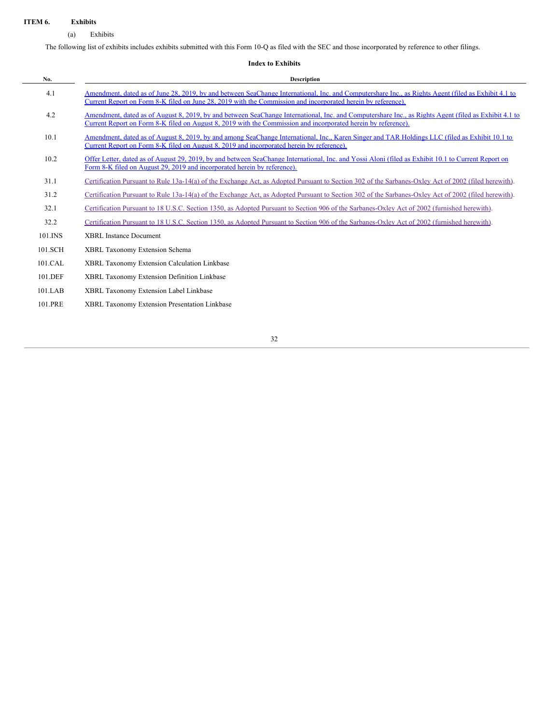## <span id="page-32-0"></span>**ITEM 6. Exhibits**

# (a) Exhibits

The following list of exhibits includes exhibits submitted with this Form 10-Q as filed with the SEC and those incorporated by reference to other filings.

## **Index to Exhibits**

| No.     | <b>Description</b>                                                                                                                                                                                                                                                    |
|---------|-----------------------------------------------------------------------------------------------------------------------------------------------------------------------------------------------------------------------------------------------------------------------|
| 4.1     | Amendment, dated as of June 28, 2019, by and between SeaChange International, Inc. and Computershare Inc., as Rights Agent (filed as Exhibit 4.1 to<br>Current Report on Form 8-K filed on June 28, 2019 with the Commission and incorporated herein by reference).   |
| 4.2     | Amendment, dated as of August 8, 2019, by and between SeaChange International, Inc. and Computershare Inc., as Rights Agent (filed as Exhibit 4.1 to<br>Current Report on Form 8-K filed on August 8, 2019 with the Commission and incorporated herein by reference). |
| 10.1    | Amendment, dated as of August 8, 2019, by and among SeaChange International, Inc., Karen Singer and TAR Holdings LLC (filed as Exhibit 10.1 to<br>Current Report on Form 8-K filed on August 8, 2019 and incorporated herein by reference).                           |
| 10.2    | Offer Letter, dated as of August 29, 2019, by and between SeaChange International, Inc. and Yossi Aloni (filed as Exhibit 10.1 to Current Report on<br>Form 8-K filed on August 29, 2019 and incorporated herein by reference).                                       |
| 31.1    | Certification Pursuant to Rule 13a-14(a) of the Exchange Act, as Adopted Pursuant to Section 302 of the Sarbanes-Oxley Act of 2002 (filed herewith).                                                                                                                  |
| 31.2    | Certification Pursuant to Rule 13a-14(a) of the Exchange Act, as Adopted Pursuant to Section 302 of the Sarbanes-Oxley Act of 2002 (filed herewith).                                                                                                                  |
| 32.1    | Certification Pursuant to 18 U.S.C. Section 1350, as Adopted Pursuant to Section 906 of the Sarbanes-Oxley Act of 2002 (furnished herewith).                                                                                                                          |
| 32.2    | Certification Pursuant to 18 U.S.C. Section 1350, as Adopted Pursuant to Section 906 of the Sarbanes-Oxley Act of 2002 (furnished herewith).                                                                                                                          |
| 101.INS | <b>XBRL Instance Document</b>                                                                                                                                                                                                                                         |
| 101.SCH | XBRL Taxonomy Extension Schema                                                                                                                                                                                                                                        |
| 101.CAL | XBRL Taxonomy Extension Calculation Linkbase                                                                                                                                                                                                                          |
| 101.DEF | XBRL Taxonomy Extension Definition Linkbase                                                                                                                                                                                                                           |
| 101.LAB | XBRL Taxonomy Extension Label Linkbase                                                                                                                                                                                                                                |
| 101.PRE | XBRL Taxonomy Extension Presentation Linkbase                                                                                                                                                                                                                         |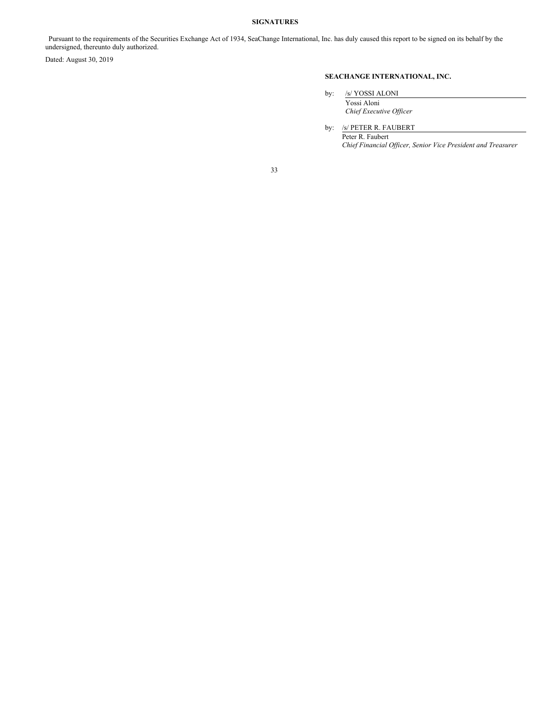## **SIGNATURES**

<span id="page-33-0"></span>Pursuant to the requirements of the Securities Exchange Act of 1934, SeaChange International, Inc. has duly caused this report to be signed on its behalf by the undersigned, thereunto duly authorized.

Dated: August 30, 2019

# **SEACHANGE INTERNATIONAL, INC.**

by: /s/ YOSSI ALONI

Yossi Aloni *Chief Executive Of icer*

by: /s/ PETER R. FAUBERT

Peter R. Faubert *Chief Financial Of icer, Senior Vice President and Treasurer*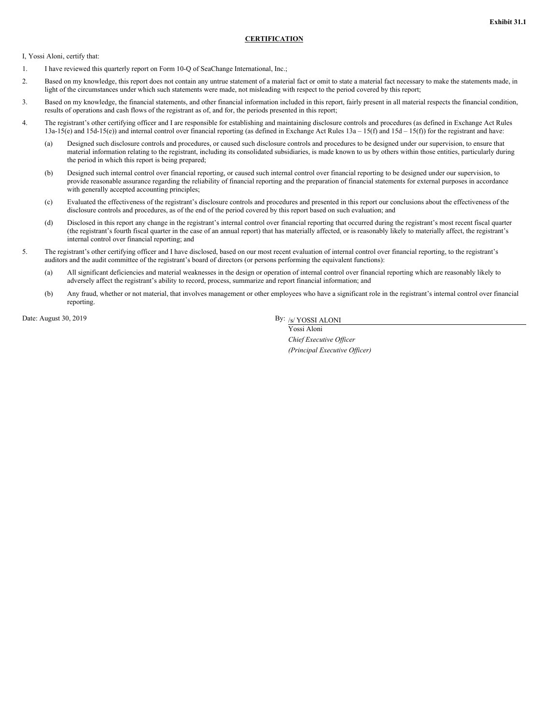## **CERTIFICATION**

<span id="page-34-0"></span>I, Yossi Aloni, certify that:

- 1. I have reviewed this quarterly report on Form 10-Q of SeaChange International, Inc.;
- 2. Based on my knowledge, this report does not contain any untrue statement of a material fact or omit to state a material fact necessary to make the statements made, in light of the circumstances under which such statements were made, not misleading with respect to the period covered by this report;
- 3. Based on my knowledge, the financial statements, and other financial information included in this report, fairly present in all material respects the financial condition, results of operations and cash flows of the registrant as of, and for, the periods presented in this report;
- 4. The registrant's other certifying officer and I are responsible for establishing and maintaining disclosure controls and procedures (as defined in Exchange Act Rules 13a-15(e) and 15d-15(e)) and internal control over financial reporting (as defined in Exchange Act Rules 13a – 15(f) and 15d – 15(f)) for the registrant and have:
	- (a) Designed such disclosure controls and procedures, or caused such disclosure controls and procedures to be designed under our supervision, to ensure that material information relating to the registrant, including its consolidated subsidiaries, is made known to us by others within those entities, particularly during the period in which this report is being prepared;
	- (b) Designed such internal control over financial reporting, or caused such internal control over financial reporting to be designed under our supervision, to provide reasonable assurance regarding the reliability of financial reporting and the preparation of financial statements for external purposes in accordance with generally accepted accounting principles;
	- (c) Evaluated the effectiveness of the registrant's disclosure controls and procedures and presented in this report our conclusions about the effectiveness of the disclosure controls and procedures, as of the end of the period covered by this report based on such evaluation; and
	- (d) Disclosed in this report any change in the registrant's internal control over financial reporting that occurred during the registrant's most recent fiscal quarter (the registrant's fourth fiscal quarter in the case of an annual report) that has materially affected, or is reasonably likely to materially affect, the registrant's internal control over financial reporting; and
- 5. The registrant's other certifying officer and I have disclosed, based on our most recent evaluation of internal control over financial reporting, to the registrant's auditors and the audit committee of the registrant's board of directors (or persons performing the equivalent functions):
	- (a) All significant deficiencies and material weaknesses in the design or operation of internal control over financial reporting which are reasonably likely to adversely affect the registrant's ability to record, process, summarize and report financial information; and
	- (b) Any fraud, whether or not material, that involves management or other employees who have a significant role in the registrant's internal control over financial reporting.

Date: August 30, 2019

By:  $\frac{1}{s}$  YOSSI ALONI

Yossi Aloni *Chief Executive Of icer (Principal Executive Of icer)*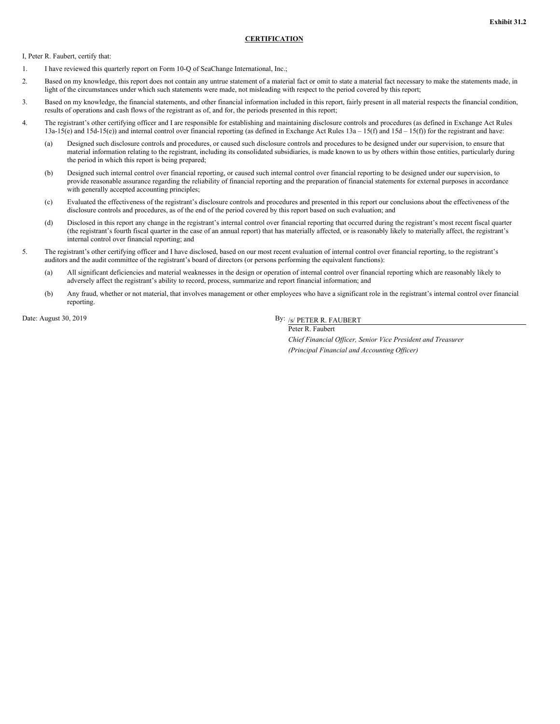## **CERTIFICATION**

<span id="page-35-0"></span>I, Peter R. Faubert, certify that:

- 1. I have reviewed this quarterly report on Form 10-Q of SeaChange International, Inc.;
- 2. Based on my knowledge, this report does not contain any untrue statement of a material fact or omit to state a material fact necessary to make the statements made, in light of the circumstances under which such statements were made, not misleading with respect to the period covered by this report;
- 3. Based on my knowledge, the financial statements, and other financial information included in this report, fairly present in all material respects the financial condition, results of operations and cash flows of the registrant as of, and for, the periods presented in this report;
- 4. The registrant's other certifying officer and I are responsible for establishing and maintaining disclosure controls and procedures (as defined in Exchange Act Rules 13a-15(e) and 15d-15(e)) and internal control over financial reporting (as defined in Exchange Act Rules 13a – 15(f) and 15d – 15(f)) for the registrant and have:
	- (a) Designed such disclosure controls and procedures, or caused such disclosure controls and procedures to be designed under our supervision, to ensure that material information relating to the registrant, including its consolidated subsidiaries, is made known to us by others within those entities, particularly during the period in which this report is being prepared;
	- (b) Designed such internal control over financial reporting, or caused such internal control over financial reporting to be designed under our supervision, to provide reasonable assurance regarding the reliability of financial reporting and the preparation of financial statements for external purposes in accordance with generally accepted accounting principles;
	- (c) Evaluated the effectiveness of the registrant's disclosure controls and procedures and presented in this report our conclusions about the effectiveness of the disclosure controls and procedures, as of the end of the period covered by this report based on such evaluation; and
	- (d) Disclosed in this report any change in the registrant's internal control over financial reporting that occurred during the registrant's most recent fiscal quarter (the registrant's fourth fiscal quarter in the case of an annual report) that has materially affected, or is reasonably likely to materially affect, the registrant's internal control over financial reporting; and
- 5. The registrant's other certifying officer and I have disclosed, based on our most recent evaluation of internal control over financial reporting, to the registrant's auditors and the audit committee of the registrant's board of directors (or persons performing the equivalent functions):
	- (a) All significant deficiencies and material weaknesses in the design or operation of internal control over financial reporting which are reasonably likely to adversely affect the registrant's ability to record, process, summarize and report financial information; and
	- (b) Any fraud, whether or not material, that involves management or other employees who have a significant role in the registrant's internal control over financial reporting.

Date: August 30, 2019

### By: /s/ PETER R. FAUBERT Peter R. Faubert

*Chief Financial Of icer, Senior Vice President and Treasurer (Principal Financial and Accounting Of icer)*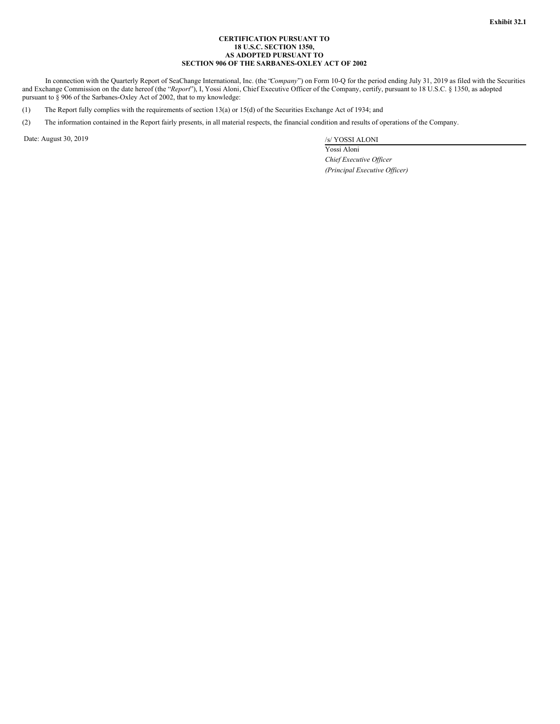## **CERTIFICATION PURSUANT TO 18 U.S.C. SECTION 1350, AS ADOPTED PURSUANT TO SECTION 906 OF THE SARBANES-OXLEY ACT OF 2002**

<span id="page-36-0"></span>In connection with the Quarterly Report of SeaChange International, Inc. (the "*Company*") on Form 10-Q for the period ending July 31, 2019 as filed with the Securities and Exchange Commission on the date hereof (the "*Report*"), I, Yossi Aloni, Chief Executive Officer of the Company, certify, pursuant to 18 U.S.C. § 1350, as adopted pursuant to § 906 of the Sarbanes-Oxley Act of 2002, that to my knowledge:

(1) The Report fully complies with the requirements of section 13(a) or 15(d) of the Securities Exchange Act of 1934; and

(2) The information contained in the Report fairly presents, in all material respects, the financial condition and results of operations of the Company.

Date: August 30, 2019 /s/ YOSSI ALONI

Yossi Aloni *Chief Executive Of icer (Principal Executive Of icer)*